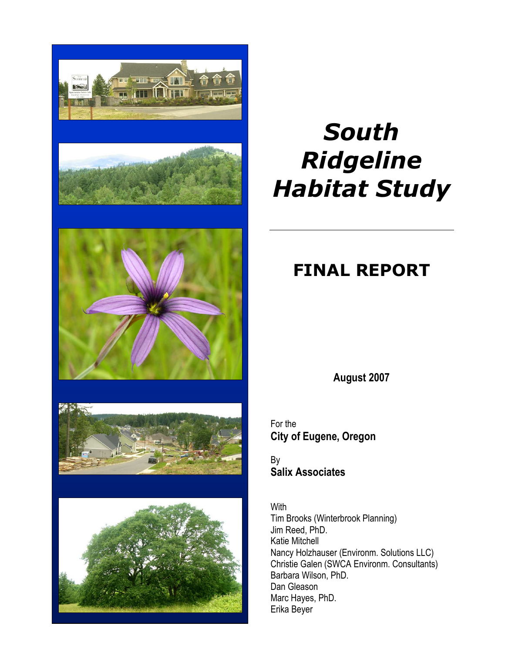





# 大き



# *South Ridgeline Habitat Study*

# **FINAL REPORT**

**August 2007** 

For the **City of Eugene, Oregon** 

By **Salix Associates** 

With Tim Brooks (Winterbrook Planning) Jim Reed, PhD. Katie Mitchell Nancy Holzhauser (Environm. Solutions LLC) Christie Galen (SWCA Environm. Consultants) Barbara Wilson, PhD. Dan Gleason Marc Hayes, PhD. Erika Beyer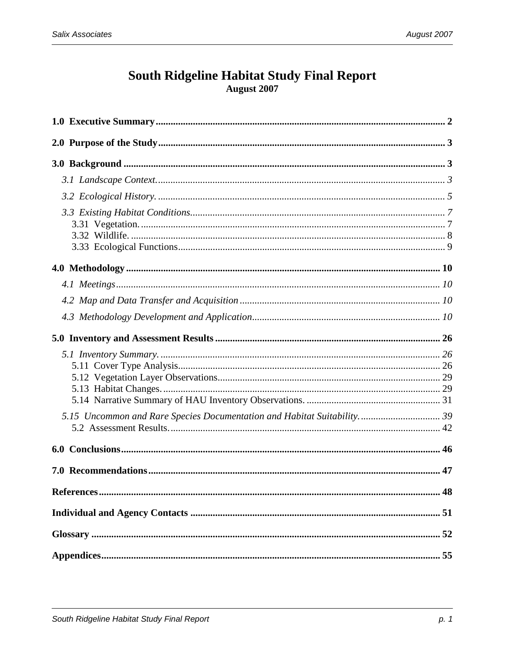## South Ridgeline Habitat Study Final Report August 2007

| 5.15 Uncommon and Rare Species Documentation and Habitat Suitability 39 |  |
|-------------------------------------------------------------------------|--|
|                                                                         |  |
|                                                                         |  |
|                                                                         |  |
|                                                                         |  |
|                                                                         |  |
|                                                                         |  |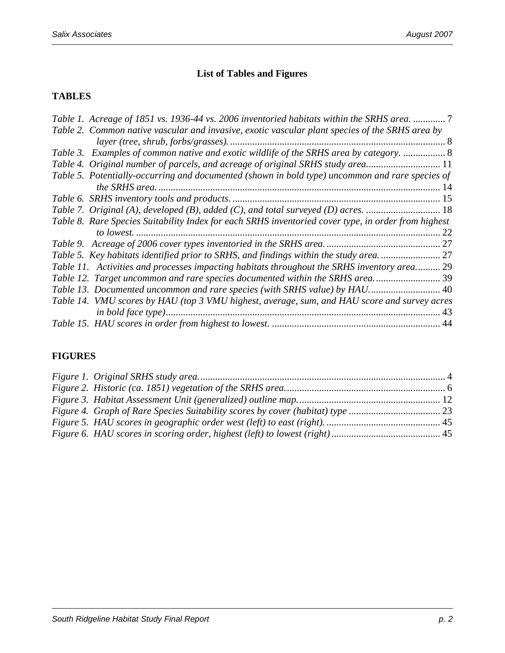#### **List of Tables and Figures**

#### **TABLES**

| Table 1. Acreage of 1851 vs. 1936-44 vs. 2006 inventoried habitats within the SRHS area.            |
|-----------------------------------------------------------------------------------------------------|
| Table 2. Common native vascular and invasive, exotic vascular plant species of the SRHS area by     |
|                                                                                                     |
| Table 3. Examples of common native and exotic wildlife of the SRHS area by category.  8             |
| Table 4. Original number of parcels, and acreage of original SRHS study area 11                     |
| Table 5. Potentially-occurring and documented (shown in bold type) uncommon and rare species of     |
|                                                                                                     |
|                                                                                                     |
|                                                                                                     |
| Table 8. Rare Species Suitability Index for each SRHS inventoried cover type, in order from highest |
| 22                                                                                                  |
|                                                                                                     |
| Table 5. Key habitats identified prior to SRHS, and findings within the study area                  |
| Table 11. Activities and processes impacting habitats throughout the SRHS inventory area 29         |
| Table 12. Target uncommon and rare species documented within the SRHS area 39                       |
| Table 13. Documented uncommon and rare species (with SRHS value) by HAU 40                          |
| Table 14. VMU scores by HAU (top 3 VMU highest, average, sum, and HAU score and survey acres        |
| 43                                                                                                  |
|                                                                                                     |

#### **FIGURES**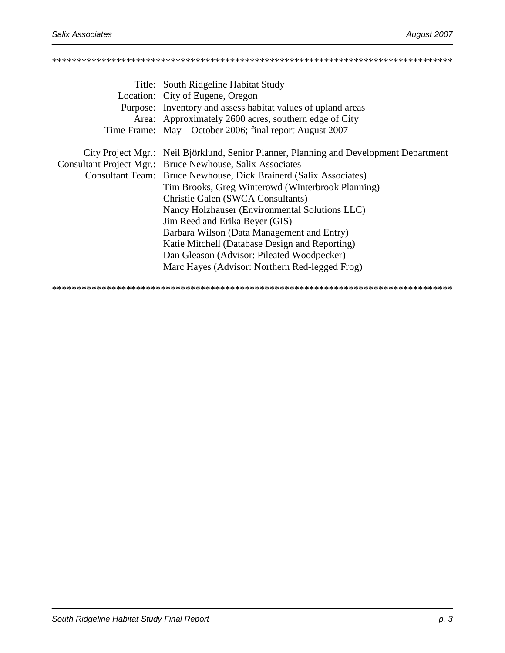# \*\*\*\*\*\*\*\*\*\*\*\*\*\*\*\*\*\*\*\*\*\*\*\*\*\*\*\*\*\*\*\*\*\*\*\*\*\*\*\*\*\*\*\*\*\*\*\*\*\*\*\*\*\*\*\*\*\*\*\*\*\*\*\*\*\*\*\*\*\*\*\*\*\*\*\*\*\*\*\*\* Title: South Ridgeline Habitat Study Location: City of Eugene, Oregon Purpose: Inventory and assess habitat values of upland areas<br>Agree Agreementely 2600 same southern also of Gity.

|  | Area: Approximately 2600 acres, southern edge of City                                  |
|--|----------------------------------------------------------------------------------------|
|  | Time Frame: May – October 2006; final report August 2007                               |
|  | City Project Mgr.: Neil Björklund, Senior Planner, Planning and Development Department |
|  | Consultant Project Mgr.: Bruce Newhouse, Salix Associates                              |
|  | Consultant Team: Bruce Newhouse, Dick Brainerd (Salix Associates)                      |
|  | Tim Brooks, Greg Winterowd (Winterbrook Planning)                                      |
|  | Christie Galen (SWCA Consultants)                                                      |
|  | Nancy Holzhauser (Environmental Solutions LLC)                                         |
|  | Jim Reed and Erika Beyer (GIS)                                                         |
|  | Barbara Wilson (Data Management and Entry)                                             |
|  | Katie Mitchell (Database Design and Reporting)                                         |
|  | Dan Gleason (Advisor: Pileated Woodpecker)                                             |
|  | Marc Hayes (Advisor: Northern Red-legged Frog)                                         |
|  |                                                                                        |

\*\*\*\*\*\*\*\*\*\*\*\*\*\*\*\*\*\*\*\*\*\*\*\*\*\*\*\*\*\*\*\*\*\*\*\*\*\*\*\*\*\*\*\*\*\*\*\*\*\*\*\*\*\*\*\*\*\*\*\*\*\*\*\*\*\*\*\*\*\*\*\*\*\*\*\*\*\*\*\*\*

South Ridgeline Habitat Study Final Report **p. 3** and p. 3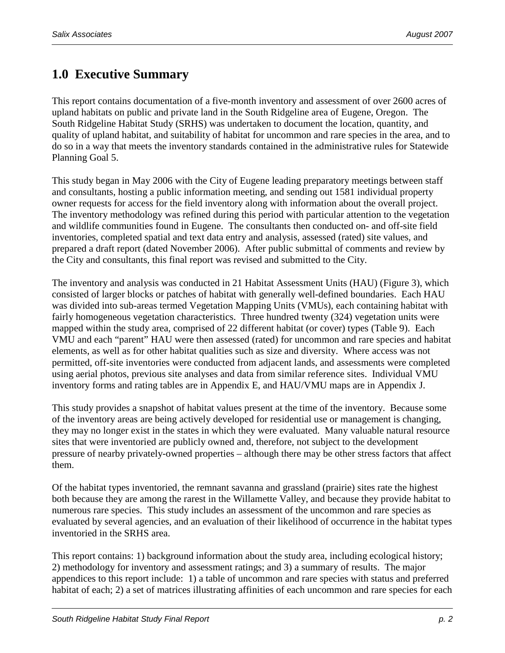# **1.0 Executive Summary**

This report contains documentation of a five-month inventory and assessment of over 2600 acres of upland habitats on public and private land in the South Ridgeline area of Eugene, Oregon. The South Ridgeline Habitat Study (SRHS) was undertaken to document the location, quantity, and quality of upland habitat, and suitability of habitat for uncommon and rare species in the area, and to do so in a way that meets the inventory standards contained in the administrative rules for Statewide Planning Goal 5.

This study began in May 2006 with the City of Eugene leading preparatory meetings between staff and consultants, hosting a public information meeting, and sending out 1581 individual property owner requests for access for the field inventory along with information about the overall project. The inventory methodology was refined during this period with particular attention to the vegetation and wildlife communities found in Eugene. The consultants then conducted on- and off-site field inventories, completed spatial and text data entry and analysis, assessed (rated) site values, and prepared a draft report (dated November 2006). After public submittal of comments and review by the City and consultants, this final report was revised and submitted to the City.

The inventory and analysis was conducted in 21 Habitat Assessment Units (HAU) (Figure 3), which consisted of larger blocks or patches of habitat with generally well-defined boundaries. Each HAU was divided into sub-areas termed Vegetation Mapping Units (VMUs), each containing habitat with fairly homogeneous vegetation characteristics. Three hundred twenty (324) vegetation units were mapped within the study area, comprised of 22 different habitat (or cover) types (Table 9). Each VMU and each "parent" HAU were then assessed (rated) for uncommon and rare species and habitat elements, as well as for other habitat qualities such as size and diversity. Where access was not permitted, off-site inventories were conducted from adjacent lands, and assessments were completed using aerial photos, previous site analyses and data from similar reference sites. Individual VMU inventory forms and rating tables are in Appendix E, and HAU/VMU maps are in Appendix J.

This study provides a snapshot of habitat values present at the time of the inventory. Because some of the inventory areas are being actively developed for residential use or management is changing, they may no longer exist in the states in which they were evaluated. Many valuable natural resource sites that were inventoried are publicly owned and, therefore, not subject to the development pressure of nearby privately-owned properties – although there may be other stress factors that affect them.

Of the habitat types inventoried, the remnant savanna and grassland (prairie) sites rate the highest both because they are among the rarest in the Willamette Valley, and because they provide habitat to numerous rare species. This study includes an assessment of the uncommon and rare species as evaluated by several agencies, and an evaluation of their likelihood of occurrence in the habitat types inventoried in the SRHS area.

This report contains: 1) background information about the study area, including ecological history; 2) methodology for inventory and assessment ratings; and 3) a summary of results. The major appendices to this report include: 1) a table of uncommon and rare species with status and preferred habitat of each; 2) a set of matrices illustrating affinities of each uncommon and rare species for each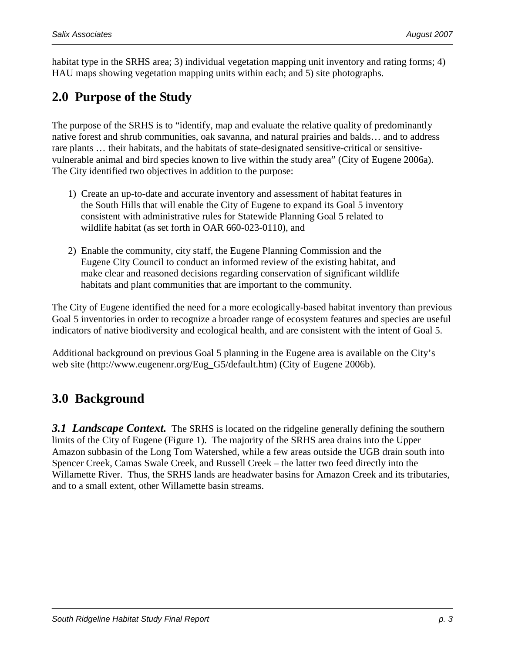habitat type in the SRHS area; 3) individual vegetation mapping unit inventory and rating forms; 4) HAU maps showing vegetation mapping units within each; and 5) site photographs.

# **2.0 Purpose of the Study**

The purpose of the SRHS is to "identify, map and evaluate the relative quality of predominantly native forest and shrub communities, oak savanna, and natural prairies and balds… and to address rare plants … their habitats, and the habitats of state-designated sensitive-critical or sensitivevulnerable animal and bird species known to live within the study area" (City of Eugene 2006a). The City identified two objectives in addition to the purpose:

- 1) Create an up-to-date and accurate inventory and assessment of habitat features in the South Hills that will enable the City of Eugene to expand its Goal 5 inventory consistent with administrative rules for Statewide Planning Goal 5 related to wildlife habitat (as set forth in OAR 660-023-0110), and
- 2) Enable the community, city staff, the Eugene Planning Commission and the Eugene City Council to conduct an informed review of the existing habitat, and make clear and reasoned decisions regarding conservation of significant wildlife habitats and plant communities that are important to the community.

The City of Eugene identified the need for a more ecologically-based habitat inventory than previous Goal 5 inventories in order to recognize a broader range of ecosystem features and species are useful indicators of native biodiversity and ecological health, and are consistent with the intent of Goal 5.

Additional background on previous Goal 5 planning in the Eugene area is available on the City's web site (http://www.eugenenr.org/Eug\_G5/default.htm) (City of Eugene 2006b).

# **3.0 Background**

**3.1 Landscape Context.** The SRHS is located on the ridgeline generally defining the southern limits of the City of Eugene (Figure 1). The majority of the SRHS area drains into the Upper Amazon subbasin of the Long Tom Watershed, while a few areas outside the UGB drain south into Spencer Creek, Camas Swale Creek, and Russell Creek – the latter two feed directly into the Willamette River. Thus, the SRHS lands are headwater basins for Amazon Creek and its tributaries, and to a small extent, other Willamette basin streams.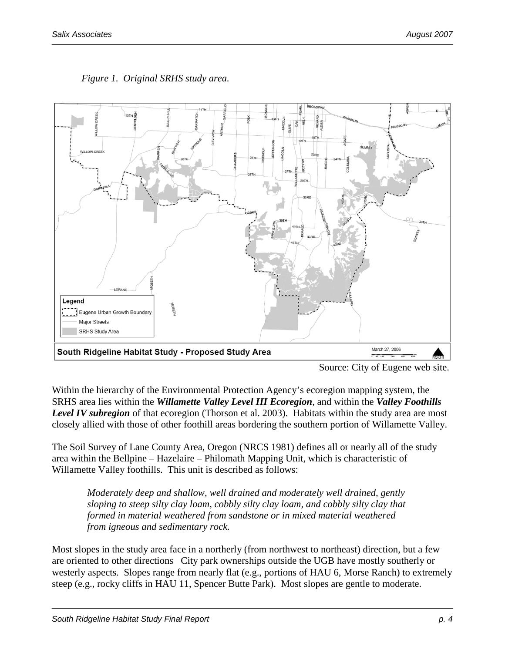

*Figure 1. Original SRHS study area.* 

Within the hierarchy of the Environmental Protection Agency's ecoregion mapping system, the SRHS area lies within the *Willamette Valley Level III Ecoregion*, and within the *Valley Foothills Level IV subregion* of that ecoregion (Thorson et al. 2003). Habitats within the study area are most closely allied with those of other foothill areas bordering the southern portion of Willamette Valley.

The Soil Survey of Lane County Area, Oregon (NRCS 1981) defines all or nearly all of the study area within the Bellpine – Hazelaire – Philomath Mapping Unit, which is characteristic of Willamette Valley foothills. This unit is described as follows:

*Moderately deep and shallow, well drained and moderately well drained, gently sloping to steep silty clay loam, cobbly silty clay loam, and cobbly silty clay that formed in material weathered from sandstone or in mixed material weathered from igneous and sedimentary rock.* 

Most slopes in the study area face in a northerly (from northwest to northeast) direction, but a few are oriented to other directions City park ownerships outside the UGB have mostly southerly or westerly aspects. Slopes range from nearly flat (e.g., portions of HAU 6, Morse Ranch) to extremely steep (e.g., rocky cliffs in HAU 11, Spencer Butte Park). Most slopes are gentle to moderate.

Source: City of Eugene web site.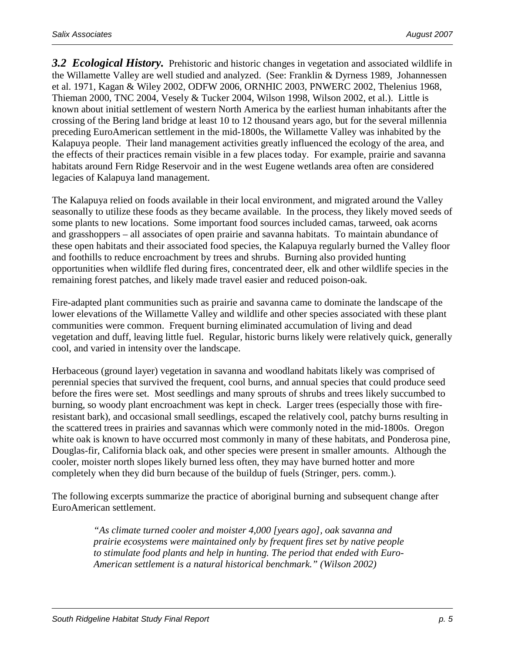*3.2 Ecological History.* Prehistoric and historic changes in vegetation and associated wildlife in the Willamette Valley are well studied and analyzed. (See: Franklin & Dyrness 1989, Johannessen et al. 1971, Kagan & Wiley 2002, ODFW 2006, ORNHIC 2003, PNWERC 2002, Thelenius 1968, Thieman 2000, TNC 2004, Vesely & Tucker 2004, Wilson 1998, Wilson 2002, et al.). Little is known about initial settlement of western North America by the earliest human inhabitants after the crossing of the Bering land bridge at least 10 to 12 thousand years ago, but for the several millennia preceding EuroAmerican settlement in the mid-1800s, the Willamette Valley was inhabited by the Kalapuya people. Their land management activities greatly influenced the ecology of the area, and the effects of their practices remain visible in a few places today. For example, prairie and savanna habitats around Fern Ridge Reservoir and in the west Eugene wetlands area often are considered legacies of Kalapuya land management.

The Kalapuya relied on foods available in their local environment, and migrated around the Valley seasonally to utilize these foods as they became available. In the process, they likely moved seeds of some plants to new locations. Some important food sources included camas, tarweed, oak acorns and grasshoppers – all associates of open prairie and savanna habitats. To maintain abundance of these open habitats and their associated food species, the Kalapuya regularly burned the Valley floor and foothills to reduce encroachment by trees and shrubs. Burning also provided hunting opportunities when wildlife fled during fires, concentrated deer, elk and other wildlife species in the remaining forest patches, and likely made travel easier and reduced poison-oak.

Fire-adapted plant communities such as prairie and savanna came to dominate the landscape of the lower elevations of the Willamette Valley and wildlife and other species associated with these plant communities were common. Frequent burning eliminated accumulation of living and dead vegetation and duff, leaving little fuel. Regular, historic burns likely were relatively quick, generally cool, and varied in intensity over the landscape.

Herbaceous (ground layer) vegetation in savanna and woodland habitats likely was comprised of perennial species that survived the frequent, cool burns, and annual species that could produce seed before the fires were set. Most seedlings and many sprouts of shrubs and trees likely succumbed to burning, so woody plant encroachment was kept in check. Larger trees (especially those with fireresistant bark), and occasional small seedlings, escaped the relatively cool, patchy burns resulting in the scattered trees in prairies and savannas which were commonly noted in the mid-1800s. Oregon white oak is known to have occurred most commonly in many of these habitats, and Ponderosa pine, Douglas-fir, California black oak, and other species were present in smaller amounts. Although the cooler, moister north slopes likely burned less often, they may have burned hotter and more completely when they did burn because of the buildup of fuels (Stringer, pers. comm.).

The following excerpts summarize the practice of aboriginal burning and subsequent change after EuroAmerican settlement.

> *"As climate turned cooler and moister 4,000 [years ago], oak savanna and prairie ecosystems were maintained only by frequent fires set by native people to stimulate food plants and help in hunting. The period that ended with Euro-American settlement is a natural historical benchmark." (Wilson 2002)*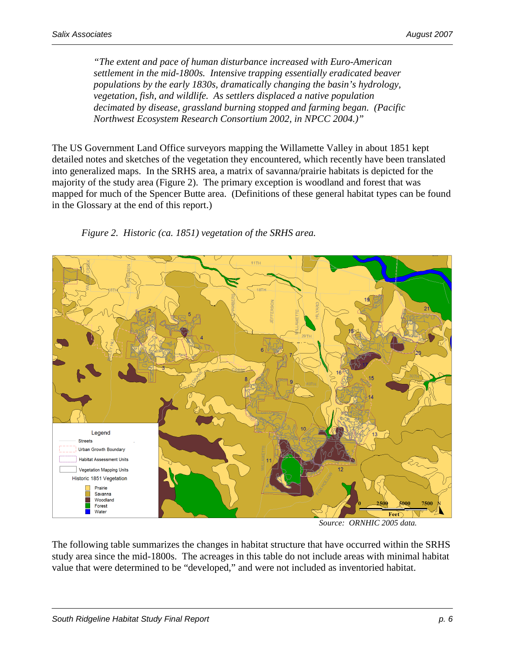*"The extent and pace of human disturbance increased with Euro-American settlement in the mid-1800s. Intensive trapping essentially eradicated beaver populations by the early 1830s, dramatically changing the basin's hydrology, vegetation, fish, and wildlife. As settlers displaced a native population decimated by disease, grassland burning stopped and farming began. (Pacific Northwest Ecosystem Research Consortium 2002, in NPCC 2004.)"* 

The US Government Land Office surveyors mapping the Willamette Valley in about 1851 kept detailed notes and sketches of the vegetation they encountered, which recently have been translated into generalized maps. In the SRHS area, a matrix of savanna/prairie habitats is depicted for the majority of the study area (Figure 2). The primary exception is woodland and forest that was mapped for much of the Spencer Butte area. (Definitions of these general habitat types can be found in the Glossary at the end of this report.)





 *Source: ORNHIC 2005 data.* 

The following table summarizes the changes in habitat structure that have occurred within the SRHS study area since the mid-1800s. The acreages in this table do not include areas with minimal habitat value that were determined to be "developed," and were not included as inventoried habitat.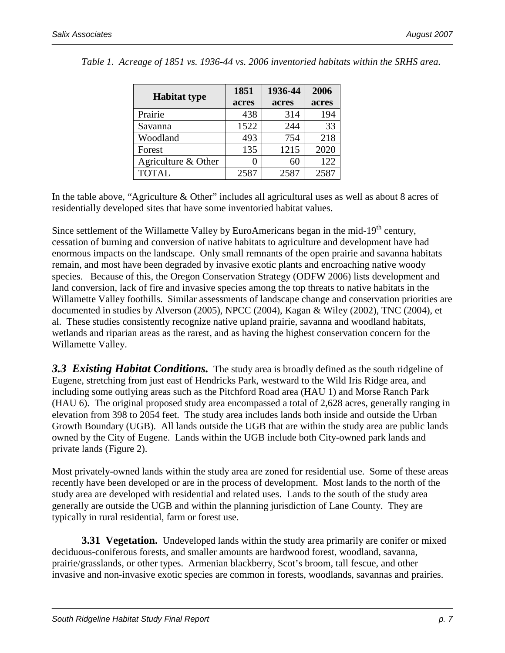|                     | 1851  | 1936-44 | 2006  |
|---------------------|-------|---------|-------|
| <b>Habitat type</b> | acres | acres   | acres |
| Prairie             | 438   | 314     | 194   |
| Savanna             | 1522  | 244     | 33    |
| Woodland            | 493   | 754     | 218   |
| Forest              | 135   | 1215    | 2020  |
| Agriculture & Other | 0     | 60      | 122   |
| <b>TOTAL</b>        | 2587  | 2587    | 2587  |

*Table 1. Acreage of 1851 vs. 1936-44 vs. 2006 inventoried habitats within the SRHS area.* 

In the table above, "Agriculture & Other" includes all agricultural uses as well as about 8 acres of residentially developed sites that have some inventoried habitat values.

Since settlement of the Willamette Valley by EuroAmericans began in the mid-19<sup>th</sup> century, cessation of burning and conversion of native habitats to agriculture and development have had enormous impacts on the landscape. Only small remnants of the open prairie and savanna habitats remain, and most have been degraded by invasive exotic plants and encroaching native woody species. Because of this, the Oregon Conservation Strategy (ODFW 2006) lists development and land conversion, lack of fire and invasive species among the top threats to native habitats in the Willamette Valley foothills. Similar assessments of landscape change and conservation priorities are documented in studies by Alverson (2005), NPCC (2004), Kagan & Wiley (2002), TNC (2004), et al. These studies consistently recognize native upland prairie, savanna and woodland habitats, wetlands and riparian areas as the rarest, and as having the highest conservation concern for the Willamette Valley.

*3.3 Existing Habitat Conditions.* The study area is broadly defined as the south ridgeline of Eugene, stretching from just east of Hendricks Park, westward to the Wild Iris Ridge area, and including some outlying areas such as the Pitchford Road area (HAU 1) and Morse Ranch Park (HAU 6). The original proposed study area encompassed a total of 2,628 acres, generally ranging in elevation from 398 to 2054 feet. The study area includes lands both inside and outside the Urban Growth Boundary (UGB). All lands outside the UGB that are within the study area are public lands owned by the City of Eugene. Lands within the UGB include both City-owned park lands and private lands (Figure 2).

Most privately-owned lands within the study area are zoned for residential use. Some of these areas recently have been developed or are in the process of development. Most lands to the north of the study area are developed with residential and related uses. Lands to the south of the study area generally are outside the UGB and within the planning jurisdiction of Lane County. They are typically in rural residential, farm or forest use.

**3.31 Vegetation.** Undeveloped lands within the study area primarily are conifer or mixed deciduous-coniferous forests, and smaller amounts are hardwood forest, woodland, savanna, prairie/grasslands, or other types. Armenian blackberry, Scot's broom, tall fescue, and other invasive and non-invasive exotic species are common in forests, woodlands, savannas and prairies.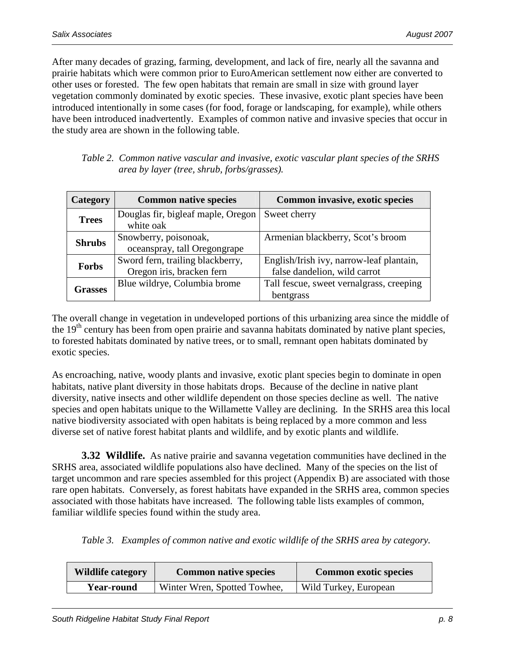After many decades of grazing, farming, development, and lack of fire, nearly all the savanna and prairie habitats which were common prior to EuroAmerican settlement now either are converted to other uses or forested. The few open habitats that remain are small in size with ground layer vegetation commonly dominated by exotic species. These invasive, exotic plant species have been introduced intentionally in some cases (for food, forage or landscaping, for example), while others have been introduced inadvertently. Examples of common native and invasive species that occur in the study area are shown in the following table.

| Table 2. Common native vascular and invasive, exotic vascular plant species of the SRHS |
|-----------------------------------------------------------------------------------------|
| area by layer (tree, shrub, forbs/grasses).                                             |

| Category                                       | <b>Common native species</b>                                  | Common invasive, exotic species                                          |
|------------------------------------------------|---------------------------------------------------------------|--------------------------------------------------------------------------|
| <b>Trees</b>                                   | Douglas fir, bigleaf maple, Oregon<br>white oak               | Sweet cherry                                                             |
| <b>Shrubs</b>                                  | Snowberry, poisonoak,<br>oceanspray, tall Oregongrape         | Armenian blackberry, Scot's broom                                        |
| <b>Forbs</b>                                   | Sword fern, trailing blackberry,<br>Oregon iris, bracken fern | English/Irish ivy, narrow-leaf plantain,<br>false dandelion, wild carrot |
| Blue wildrye, Columbia brome<br><b>Grasses</b> |                                                               | Tall fescue, sweet vernalgrass, creeping<br>bentgrass                    |

The overall change in vegetation in undeveloped portions of this urbanizing area since the middle of the 19<sup>th</sup> century has been from open prairie and savanna habitats dominated by native plant species, to forested habitats dominated by native trees, or to small, remnant open habitats dominated by exotic species.

As encroaching, native, woody plants and invasive, exotic plant species begin to dominate in open habitats, native plant diversity in those habitats drops. Because of the decline in native plant diversity, native insects and other wildlife dependent on those species decline as well. The native species and open habitats unique to the Willamette Valley are declining. In the SRHS area this local native biodiversity associated with open habitats is being replaced by a more common and less diverse set of native forest habitat plants and wildlife, and by exotic plants and wildlife.

**3.32 Wildlife.** As native prairie and savanna vegetation communities have declined in the SRHS area, associated wildlife populations also have declined. Many of the species on the list of target uncommon and rare species assembled for this project (Appendix B) are associated with those rare open habitats. Conversely, as forest habitats have expanded in the SRHS area, common species associated with those habitats have increased. The following table lists examples of common, familiar wildlife species found within the study area.

*Table 3. Examples of common native and exotic wildlife of the SRHS area by category.* 

| <b>Wildlife category</b> | <b>Common native species</b> | <b>Common exotic species</b> |
|--------------------------|------------------------------|------------------------------|
| <b>Year-round</b>        | Winter Wren, Spotted Towhee, | Wild Turkey, European        |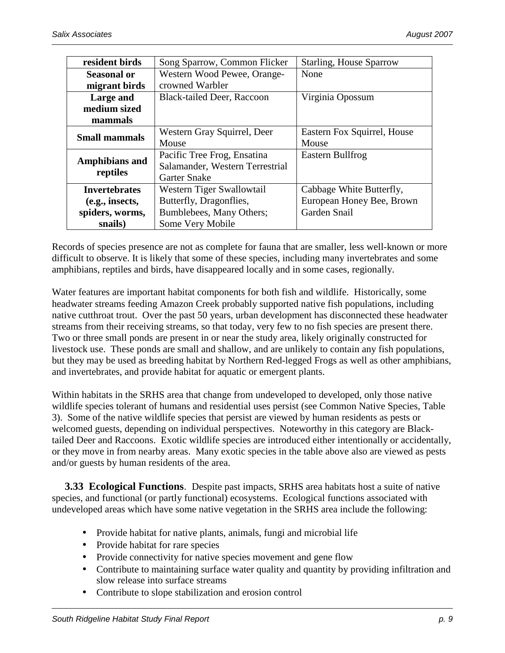| resident birds                                    | Song Sparrow, Common Flicker      | <b>Starling, House Sparrow</b> |
|---------------------------------------------------|-----------------------------------|--------------------------------|
| Western Wood Pewee, Orange-<br><b>Seasonal or</b> |                                   | None                           |
| migrant birds                                     | crowned Warbler                   |                                |
| Large and                                         | <b>Black-tailed Deer, Raccoon</b> | Virginia Opossum               |
| medium sized                                      |                                   |                                |
| mammals                                           |                                   |                                |
| <b>Small mammals</b>                              | Western Gray Squirrel, Deer       | Eastern Fox Squirrel, House    |
|                                                   | Mouse                             | Mouse                          |
|                                                   | Pacific Tree Frog, Ensatina       | Eastern Bullfrog               |
| <b>Amphibians and</b>                             | Salamander, Western Terrestrial   |                                |
| reptiles                                          | <b>Garter Snake</b>               |                                |
| Invertebrates                                     | Western Tiger Swallowtail         | Cabbage White Butterfly,       |
| (e.g., insects,                                   | Butterfly, Dragonflies,           | European Honey Bee, Brown      |
| Bumblebees, Many Others;<br>spiders, worms,       |                                   | Garden Snail                   |
| snails)                                           | Some Very Mobile                  |                                |

Records of species presence are not as complete for fauna that are smaller, less well-known or more difficult to observe. It is likely that some of these species, including many invertebrates and some amphibians, reptiles and birds, have disappeared locally and in some cases, regionally.

Water features are important habitat components for both fish and wildlife. Historically, some headwater streams feeding Amazon Creek probably supported native fish populations, including native cutthroat trout. Over the past 50 years, urban development has disconnected these headwater streams from their receiving streams, so that today, very few to no fish species are present there. Two or three small ponds are present in or near the study area, likely originally constructed for livestock use. These ponds are small and shallow, and are unlikely to contain any fish populations, but they may be used as breeding habitat by Northern Red-legged Frogs as well as other amphibians, and invertebrates, and provide habitat for aquatic or emergent plants.

Within habitats in the SRHS area that change from undeveloped to developed, only those native wildlife species tolerant of humans and residential uses persist (see Common Native Species, Table 3). Some of the native wildlife species that persist are viewed by human residents as pests or welcomed guests, depending on individual perspectives. Noteworthy in this category are Blacktailed Deer and Raccoons. Exotic wildlife species are introduced either intentionally or accidentally, or they move in from nearby areas. Many exotic species in the table above also are viewed as pests and/or guests by human residents of the area.

 **3.33 Ecological Functions**. Despite past impacts, SRHS area habitats host a suite of native species, and functional (or partly functional) ecosystems. Ecological functions associated with undeveloped areas which have some native vegetation in the SRHS area include the following:

- Provide habitat for native plants, animals, fungi and microbial life
- Provide habitat for rare species
- Provide connectivity for native species movement and gene flow
- Contribute to maintaining surface water quality and quantity by providing infiltration and slow release into surface streams
- Contribute to slope stabilization and erosion control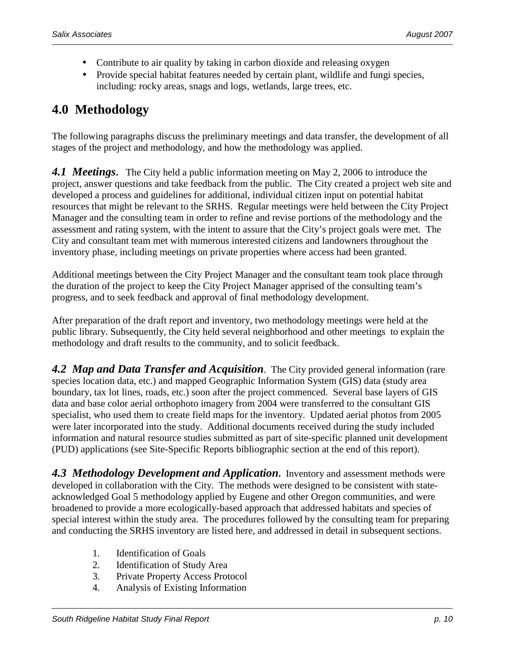- Contribute to air quality by taking in carbon dioxide and releasing oxygen
- Provide special habitat features needed by certain plant, wildlife and fungi species, including: rocky areas, snags and logs, wetlands, large trees, etc.

# **4.0 Methodology**

The following paragraphs discuss the preliminary meetings and data transfer, the development of all stages of the project and methodology, and how the methodology was applied.

*4.1 Meetings***.** The City held a public information meeting on May 2, 2006 to introduce the project, answer questions and take feedback from the public. The City created a project web site and developed a process and guidelines for additional, individual citizen input on potential habitat resources that might be relevant to the SRHS. Regular meetings were held between the City Project Manager and the consulting team in order to refine and revise portions of the methodology and the assessment and rating system, with the intent to assure that the City's project goals were met. The City and consultant team met with numerous interested citizens and landowners throughout the inventory phase, including meetings on private properties where access had been granted.

Additional meetings between the City Project Manager and the consultant team took place through the duration of the project to keep the City Project Manager apprised of the consulting team's progress, and to seek feedback and approval of final methodology development.

After preparation of the draft report and inventory, two methodology meetings were held at the public library. Subsequently, the City held several neighborhood and other meetings to explain the methodology and draft results to the community, and to solicit feedback.

*4.2 Map and Data Transfer and Acquisition*. The City provided general information (rare species location data, etc.) and mapped Geographic Information System (GIS) data (study area boundary, tax lot lines, roads, etc.) soon after the project commenced. Several base layers of GIS data and base color aerial orthophoto imagery from 2004 were transferred to the consultant GIS specialist, who used them to create field maps for the inventory. Updated aerial photos from 2005 were later incorporated into the study. Additional documents received during the study included information and natural resource studies submitted as part of site-specific planned unit development (PUD) applications (see Site-Specific Reports bibliographic section at the end of this report).

**4.3 Methodology Development and Application.** Inventory and assessment methods were developed in collaboration with the City. The methods were designed to be consistent with stateacknowledged Goal 5 methodology applied by Eugene and other Oregon communities, and were broadened to provide a more ecologically-based approach that addressed habitats and species of special interest within the study area. The procedures followed by the consulting team for preparing and conducting the SRHS inventory are listed here, and addressed in detail in subsequent sections.

- 1. Identification of Goals
- 2. Identification of Study Area
- 3. Private Property Access Protocol
- 4. Analysis of Existing Information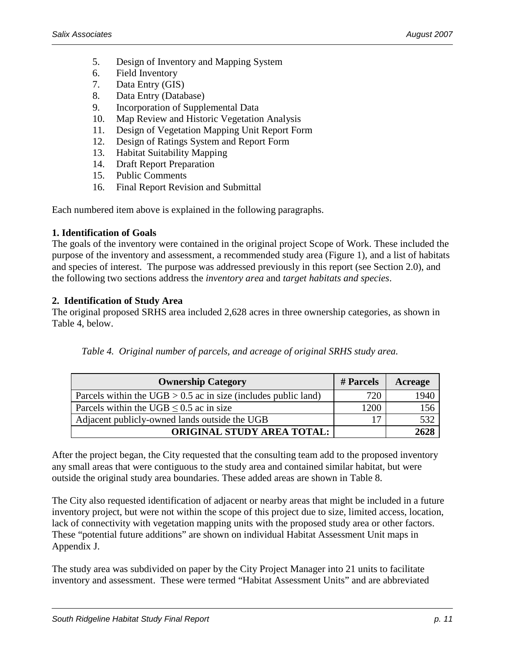- 5. Design of Inventory and Mapping System
- 6. Field Inventory
- 7. Data Entry (GIS)
- 8. Data Entry (Database)
- 9. Incorporation of Supplemental Data
- 10. Map Review and Historic Vegetation Analysis
- 11. Design of Vegetation Mapping Unit Report Form
- 12. Design of Ratings System and Report Form
- 13. Habitat Suitability Mapping
- 14. Draft Report Preparation
- 15. Public Comments
- 16. Final Report Revision and Submittal

Each numbered item above is explained in the following paragraphs.

#### **1. Identification of Goals**

The goals of the inventory were contained in the original project Scope of Work. These included the purpose of the inventory and assessment, a recommended study area (Figure 1), and a list of habitats and species of interest.The purpose was addressed previously in this report (see Section 2.0), and the following two sections address the *inventory area* and *target habitats and species*.

#### **2. Identification of Study Area**

The original proposed SRHS area included 2,628 acres in three ownership categories, as shown in Table 4, below.

|  |  |  | Table 4. Original number of parcels, and acreage of original SRHS study area. |
|--|--|--|-------------------------------------------------------------------------------|
|  |  |  |                                                                               |

| <b>Ownership Category</b>                                        | # Parcels | Acreage |
|------------------------------------------------------------------|-----------|---------|
| Parcels within the UGB $> 0.5$ ac in size (includes public land) | 720       | 1940    |
| Parcels within the UGB $\leq$ 0.5 ac in size                     | 1200      | 156     |
| Adjacent publicly-owned lands outside the UGB                    | 17        | 532     |
| <b>ORIGINAL STUDY AREA TOTAL:</b>                                |           | 2628    |

After the project began, the City requested that the consulting team add to the proposed inventory any small areas that were contiguous to the study area and contained similar habitat, but were outside the original study area boundaries. These added areas are shown in Table 8.

The City also requested identification of adjacent or nearby areas that might be included in a future inventory project, but were not within the scope of this project due to size, limited access, location, lack of connectivity with vegetation mapping units with the proposed study area or other factors. These "potential future additions" are shown on individual Habitat Assessment Unit maps in Appendix J.

The study area was subdivided on paper by the City Project Manager into 21 units to facilitate inventory and assessment. These were termed "Habitat Assessment Units" and are abbreviated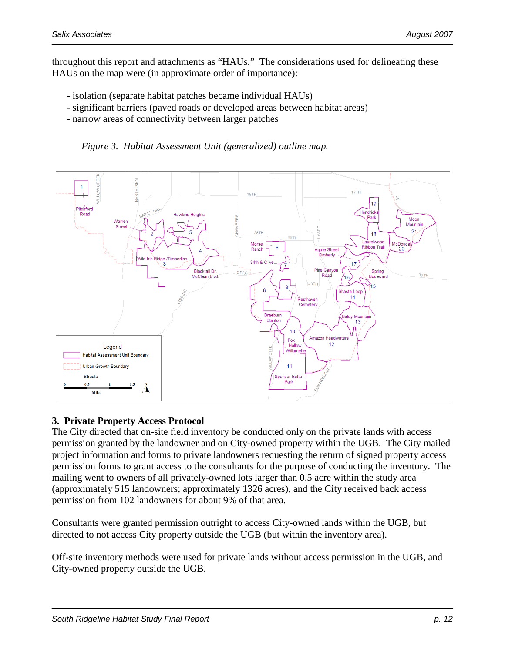throughout this report and attachments as "HAUs." The considerations used for delineating these HAUs on the map were (in approximate order of importance):

- isolation (separate habitat patches became individual HAUs)
- significant barriers (paved roads or developed areas between habitat areas)
- narrow areas of connectivity between larger patches





#### **3. Private Property Access Protocol**

The City directed that on-site field inventory be conducted only on the private lands with access permission granted by the landowner and on City-owned property within the UGB. The City mailed project information and forms to private landowners requesting the return of signed property access permission forms to grant access to the consultants for the purpose of conducting the inventory. The mailing went to owners of all privately-owned lots larger than 0.5 acre within the study area (approximately 515 landowners; approximately 1326 acres), and the City received back access permission from 102 landowners for about 9% of that area.

Consultants were granted permission outright to access City-owned lands within the UGB, but directed to not access City property outside the UGB (but within the inventory area).

Off-site inventory methods were used for private lands without access permission in the UGB, and City-owned property outside the UGB.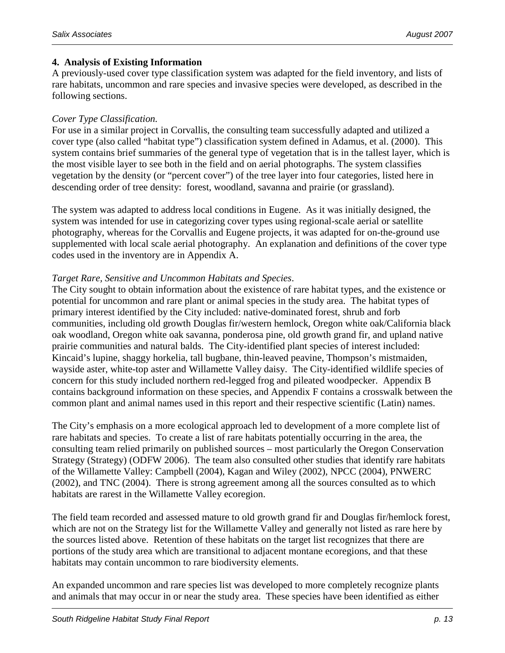#### **4. Analysis of Existing Information**

A previously-used cover type classification system was adapted for the field inventory, and lists of rare habitats, uncommon and rare species and invasive species were developed, as described in the following sections.

#### *Cover Type Classification.*

For use in a similar project in Corvallis, the consulting team successfully adapted and utilized a cover type (also called "habitat type") classification system defined in Adamus, et al. (2000). This system contains brief summaries of the general type of vegetation that is in the tallest layer, which is the most visible layer to see both in the field and on aerial photographs. The system classifies vegetation by the density (or "percent cover") of the tree layer into four categories, listed here in descending order of tree density: forest, woodland, savanna and prairie (or grassland).

The system was adapted to address local conditions in Eugene. As it was initially designed, the system was intended for use in categorizing cover types using regional-scale aerial or satellite photography, whereas for the Corvallis and Eugene projects, it was adapted for on-the-ground use supplemented with local scale aerial photography. An explanation and definitions of the cover type codes used in the inventory are in Appendix A.

#### *Target Rare, Sensitive and Uncommon Habitats and Species*.

The City sought to obtain information about the existence of rare habitat types, and the existence or potential for uncommon and rare plant or animal species in the study area. The habitat types of primary interest identified by the City included: native-dominated forest, shrub and forb communities, including old growth Douglas fir/western hemlock, Oregon white oak/California black oak woodland, Oregon white oak savanna, ponderosa pine, old growth grand fir, and upland native prairie communities and natural balds. The City-identified plant species of interest included: Kincaid's lupine, shaggy horkelia, tall bugbane, thin-leaved peavine, Thompson's mistmaiden, wayside aster, white-top aster and Willamette Valley daisy. The City-identified wildlife species of concern for this study included northern red-legged frog and pileated woodpecker. Appendix B contains background information on these species, and Appendix F contains a crosswalk between the common plant and animal names used in this report and their respective scientific (Latin) names.

The City's emphasis on a more ecological approach led to development of a more complete list of rare habitats and species. To create a list of rare habitats potentially occurring in the area, the consulting team relied primarily on published sources – most particularly the Oregon Conservation Strategy (Strategy) (ODFW 2006). The team also consulted other studies that identify rare habitats of the Willamette Valley: Campbell (2004), Kagan and Wiley (2002), NPCC (2004), PNWERC (2002), and TNC (2004). There is strong agreement among all the sources consulted as to which habitats are rarest in the Willamette Valley ecoregion.

The field team recorded and assessed mature to old growth grand fir and Douglas fir/hemlock forest, which are not on the Strategy list for the Willamette Valley and generally not listed as rare here by the sources listed above. Retention of these habitats on the target list recognizes that there are portions of the study area which are transitional to adjacent montane ecoregions, and that these habitats may contain uncommon to rare biodiversity elements.

An expanded uncommon and rare species list was developed to more completely recognize plants and animals that may occur in or near the study area. These species have been identified as either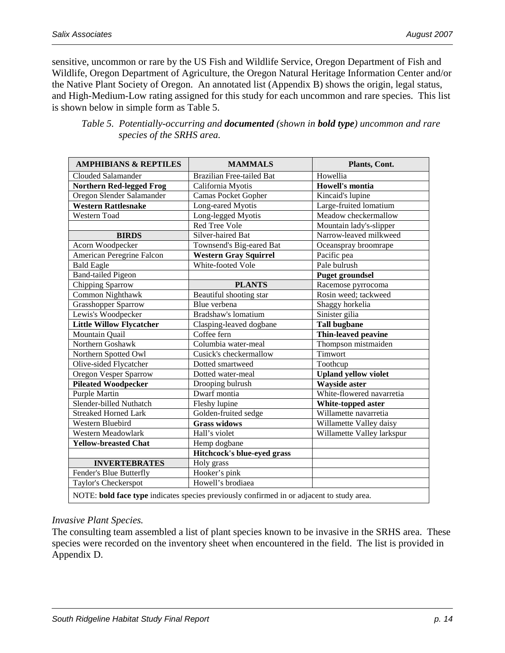sensitive, uncommon or rare by the US Fish and Wildlife Service, Oregon Department of Fish and Wildlife, Oregon Department of Agriculture, the Oregon Natural Heritage Information Center and/or the Native Plant Society of Oregon. An annotated list (Appendix B) shows the origin, legal status, and High-Medium-Low rating assigned for this study for each uncommon and rare species. This list is shown below in simple form as Table 5.

| <b>AMPHIBIANS &amp; REPTILES</b>                                                          | <b>MAMMALS</b>                   | Plants, Cont.               |  |  |
|-------------------------------------------------------------------------------------------|----------------------------------|-----------------------------|--|--|
| Clouded Salamander                                                                        | <b>Brazilian Free-tailed Bat</b> | Howellia                    |  |  |
| <b>Northern Red-legged Frog</b>                                                           | California Myotis                | <b>Howell's montia</b>      |  |  |
| Oregon Slender Salamander                                                                 | <b>Camas Pocket Gopher</b>       | Kincaid's lupine            |  |  |
| <b>Western Rattlesnake</b>                                                                | Long-eared Myotis                | Large-fruited lomatium      |  |  |
| Western Toad                                                                              | Long-legged Myotis               | Meadow checkermallow        |  |  |
|                                                                                           | Red Tree Vole                    | Mountain lady's-slipper     |  |  |
| <b>BIRDS</b>                                                                              | Silver-haired Bat                | Narrow-leaved milkweed      |  |  |
| Acorn Woodpecker                                                                          | Townsend's Big-eared Bat         | Oceanspray broomrape        |  |  |
| American Peregrine Falcon                                                                 | <b>Western Gray Squirrel</b>     | Pacific pea                 |  |  |
| <b>Bald Eagle</b>                                                                         | White-footed Vole                | Pale bulrush                |  |  |
| <b>Band-tailed Pigeon</b>                                                                 |                                  | <b>Puget groundsel</b>      |  |  |
| Chipping Sparrow                                                                          | <b>PLANTS</b>                    | Racemose pyrrocoma          |  |  |
| Common Nighthawk                                                                          | Beautiful shooting star          | Rosin weed; tackweed        |  |  |
| <b>Grasshopper Sparrow</b>                                                                | Blue verbena                     | Shaggy horkelia             |  |  |
| Lewis's Woodpecker                                                                        | Bradshaw's lomatium              | Sinister gilia              |  |  |
| <b>Little Willow Flycatcher</b>                                                           | Clasping-leaved dogbane          | <b>Tall bugbane</b>         |  |  |
| Mountain Quail                                                                            | Coffee fern                      | Thin-leaved peavine         |  |  |
| Northern Goshawk                                                                          | Columbia water-meal              | Thompson mistmaiden         |  |  |
| Northern Spotted Owl                                                                      | Cusick's checkermallow           | Timwort                     |  |  |
| Olive-sided Flycatcher                                                                    | Dotted smartweed                 | Toothcup                    |  |  |
| <b>Oregon Vesper Sparrow</b>                                                              | Dotted water-meal                | <b>Upland yellow violet</b> |  |  |
| <b>Pileated Woodpecker</b>                                                                | Drooping bulrush                 | <b>Wayside aster</b>        |  |  |
| Purple Martin                                                                             | Dwarf montia                     | White-flowered navarretia   |  |  |
| Slender-billed Nuthatch                                                                   | Fleshy lupine                    | White-topped aster          |  |  |
| <b>Streaked Horned Lark</b>                                                               | Golden-fruited sedge             | Willamette navarretia       |  |  |
| Western Bluebird                                                                          | <b>Grass widows</b>              | Willamette Valley daisy     |  |  |
| Western Meadowlark                                                                        | Hall's violet                    | Willamette Valley larkspur  |  |  |
| <b>Yellow-breasted Chat</b>                                                               | Hemp dogbane                     |                             |  |  |
|                                                                                           | Hitchcock's blue-eyed grass      |                             |  |  |
| <b>INVERTEBRATES</b>                                                                      | Holy grass                       |                             |  |  |
| Fender's Blue Butterfly                                                                   | Hooker's pink                    |                             |  |  |
| Taylor's Checkerspot                                                                      | Howell's brodiaea                |                             |  |  |
| NOTE: bold face type indicates species previously confirmed in or adjacent to study area. |                                  |                             |  |  |

| Table 5. Potentially-occurring and <b>documented</b> (shown in <b>bold type</b> ) uncommon and rare |
|-----------------------------------------------------------------------------------------------------|
| species of the SRHS area.                                                                           |

#### *Invasive Plant Species.*

The consulting team assembled a list of plant species known to be invasive in the SRHS area. These species were recorded on the inventory sheet when encountered in the field. The list is provided in Appendix D.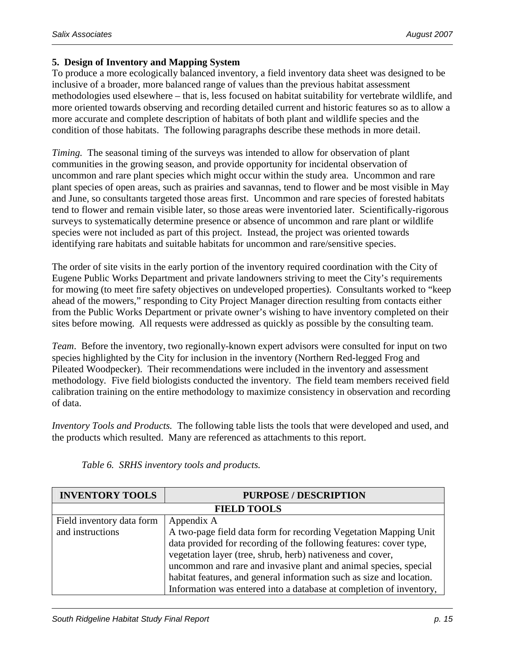#### **5. Design of Inventory and Mapping System**

To produce a more ecologically balanced inventory, a field inventory data sheet was designed to be inclusive of a broader, more balanced range of values than the previous habitat assessment methodologies used elsewhere – that is, less focused on habitat suitability for vertebrate wildlife, and more oriented towards observing and recording detailed current and historic features so as to allow a more accurate and complete description of habitats of both plant and wildlife species and the condition of those habitats. The following paragraphs describe these methods in more detail.

*Timing.* The seasonal timing of the surveys was intended to allow for observation of plant communities in the growing season, and provide opportunity for incidental observation of uncommon and rare plant species which might occur within the study area. Uncommon and rare plant species of open areas, such as prairies and savannas, tend to flower and be most visible in May and June, so consultants targeted those areas first. Uncommon and rare species of forested habitats tend to flower and remain visible later, so those areas were inventoried later. Scientifically-rigorous surveys to systematically determine presence or absence of uncommon and rare plant or wildlife species were not included as part of this project. Instead, the project was oriented towards identifying rare habitats and suitable habitats for uncommon and rare/sensitive species.

The order of site visits in the early portion of the inventory required coordination with the City of Eugene Public Works Department and private landowners striving to meet the City's requirements for mowing (to meet fire safety objectives on undeveloped properties). Consultants worked to "keep ahead of the mowers," responding to City Project Manager direction resulting from contacts either from the Public Works Department or private owner's wishing to have inventory completed on their sites before mowing. All requests were addressed as quickly as possible by the consulting team.

*Team*. Before the inventory, two regionally-known expert advisors were consulted for input on two species highlighted by the City for inclusion in the inventory (Northern Red-legged Frog and Pileated Woodpecker). Their recommendations were included in the inventory and assessment methodology*.* Five field biologists conducted the inventory. The field team members received field calibration training on the entire methodology to maximize consistency in observation and recording of data.

*Inventory Tools and Products.*The following table lists the tools that were developed and used, and the products which resulted. Many are referenced as attachments to this report.

| <b>INVENTORY TOOLS</b>    | <b>PURPOSE / DESCRIPTION</b>                                         |
|---------------------------|----------------------------------------------------------------------|
|                           | <b>FIELD TOOLS</b>                                                   |
| Field inventory data form | Appendix A                                                           |
| and instructions          | A two-page field data form for recording Vegetation Mapping Unit     |
|                           | data provided for recording of the following features: cover type,   |
|                           | vegetation layer (tree, shrub, herb) nativeness and cover,           |
|                           | uncommon and rare and invasive plant and animal species, special     |
|                           | habitat features, and general information such as size and location. |
|                           | Information was entered into a database at completion of inventory,  |

*Table 6. SRHS inventory tools and products.*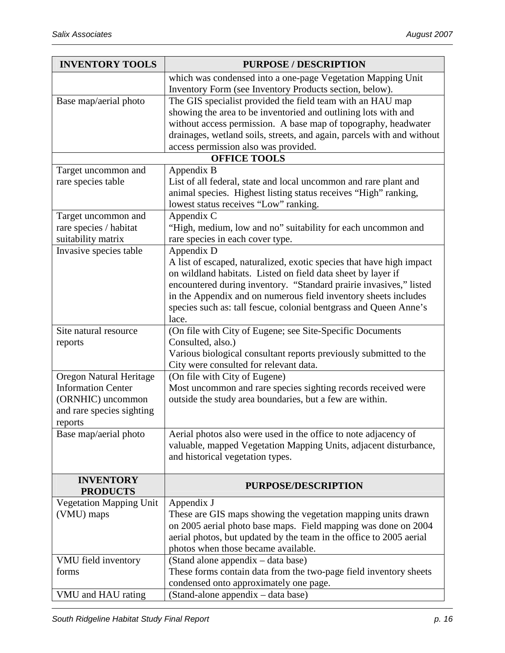| <b>INVENTORY TOOLS</b>         | <b>PURPOSE / DESCRIPTION</b>                                                                               |
|--------------------------------|------------------------------------------------------------------------------------------------------------|
|                                | which was condensed into a one-page Vegetation Mapping Unit                                                |
|                                | Inventory Form (see Inventory Products section, below).                                                    |
| Base map/aerial photo          | The GIS specialist provided the field team with an HAU map                                                 |
|                                | showing the area to be inventoried and outlining lots with and                                             |
|                                | without access permission. A base map of topography, headwater                                             |
|                                | drainages, wetland soils, streets, and again, parcels with and without                                     |
|                                | access permission also was provided.                                                                       |
|                                | <b>OFFICE TOOLS</b>                                                                                        |
| Target uncommon and            | Appendix B                                                                                                 |
| rare species table             | List of all federal, state and local uncommon and rare plant and                                           |
|                                | animal species. Highest listing status receives "High" ranking,<br>lowest status receives "Low" ranking.   |
| Target uncommon and            | Appendix C                                                                                                 |
| rare species / habitat         | "High, medium, low and no" suitability for each uncommon and                                               |
| suitability matrix             | rare species in each cover type.                                                                           |
| Invasive species table         | Appendix D                                                                                                 |
|                                | A list of escaped, naturalized, exotic species that have high impact                                       |
|                                | on wildland habitats. Listed on field data sheet by layer if                                               |
|                                | encountered during inventory. "Standard prairie invasives," listed                                         |
|                                | in the Appendix and on numerous field inventory sheets includes                                            |
|                                | species such as: tall fescue, colonial bentgrass and Queen Anne's                                          |
|                                | lace.                                                                                                      |
| Site natural resource          | (On file with City of Eugene; see Site-Specific Documents                                                  |
| reports                        | Consulted, also.)                                                                                          |
|                                | Various biological consultant reports previously submitted to the                                          |
| Oregon Natural Heritage        | City were consulted for relevant data.                                                                     |
| <b>Information Center</b>      | (On file with City of Eugene)<br>Most uncommon and rare species sighting records received were             |
| (ORNHIC) uncommon              | outside the study area boundaries, but a few are within.                                                   |
| and rare species sighting      |                                                                                                            |
| reports                        |                                                                                                            |
| Base map/aerial photo          | Aerial photos also were used in the office to note adjacency of                                            |
|                                | valuable, mapped Vegetation Mapping Units, adjacent disturbance,                                           |
|                                | and historical vegetation types.                                                                           |
|                                |                                                                                                            |
| <b>INVENTORY</b>               | <b>PURPOSE/DESCRIPTION</b>                                                                                 |
| <b>PRODUCTS</b>                |                                                                                                            |
| <b>Vegetation Mapping Unit</b> | Appendix J                                                                                                 |
| (VMU) maps                     | These are GIS maps showing the vegetation mapping units drawn                                              |
|                                | on 2005 aerial photo base maps. Field mapping was done on 2004                                             |
|                                | aerial photos, but updated by the team in the office to 2005 aerial<br>photos when those became available. |
| VMU field inventory            | (Stand alone appendix – data base)                                                                         |
| forms                          | These forms contain data from the two-page field inventory sheets                                          |
|                                | condensed onto approximately one page.                                                                     |
| VMU and HAU rating             | (Stand-alone appendix – data base)                                                                         |
|                                |                                                                                                            |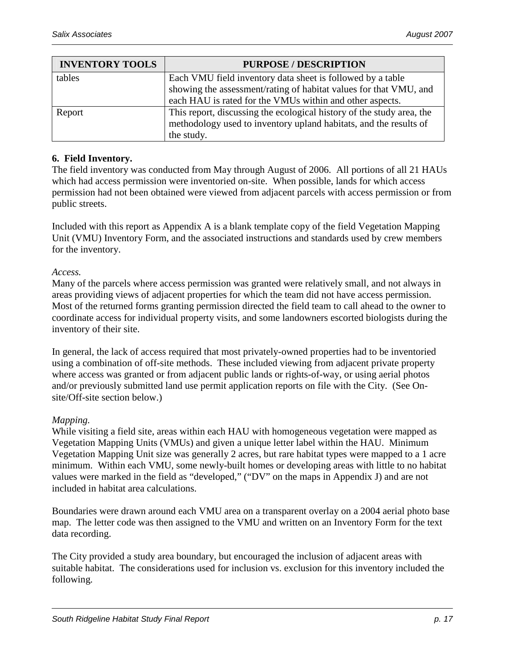| <b>INVENTORY TOOLS</b> | <b>PURPOSE / DESCRIPTION</b>                                          |  |
|------------------------|-----------------------------------------------------------------------|--|
| tables                 | Each VMU field inventory data sheet is followed by a table            |  |
|                        | showing the assessment/rating of habitat values for that VMU, and     |  |
|                        | each HAU is rated for the VMUs within and other aspects.              |  |
| Report                 | This report, discussing the ecological history of the study area, the |  |
|                        | methodology used to inventory upland habitats, and the results of     |  |
|                        | the study.                                                            |  |

#### **6. Field Inventory.**

The field inventory was conducted from May through August of 2006. All portions of all 21 HAUs which had access permission were inventoried on-site. When possible, lands for which access permission had not been obtained were viewed from adjacent parcels with access permission or from public streets.

Included with this report as Appendix A is a blank template copy of the field Vegetation Mapping Unit (VMU) Inventory Form, and the associated instructions and standards used by crew members for the inventory.

*Access.*

Many of the parcels where access permission was granted were relatively small, and not always in areas providing views of adjacent properties for which the team did not have access permission. Most of the returned forms granting permission directed the field team to call ahead to the owner to coordinate access for individual property visits, and some landowners escorted biologists during the inventory of their site.

In general, the lack of access required that most privately-owned properties had to be inventoried using a combination of off-site methods. These included viewing from adjacent private property where access was granted or from adjacent public lands or rights-of-way, or using aerial photos and/or previously submitted land use permit application reports on file with the City. (See Onsite/Off-site section below.)

#### *Mapping.*

While visiting a field site, areas within each HAU with homogeneous vegetation were mapped as Vegetation Mapping Units (VMUs) and given a unique letter label within the HAU. Minimum Vegetation Mapping Unit size was generally 2 acres, but rare habitat types were mapped to a 1 acre minimum. Within each VMU, some newly-built homes or developing areas with little to no habitat values were marked in the field as "developed," ("DV" on the maps in Appendix J) and are not included in habitat area calculations.

Boundaries were drawn around each VMU area on a transparent overlay on a 2004 aerial photo base map. The letter code was then assigned to the VMU and written on an Inventory Form for the text data recording.

The City provided a study area boundary, but encouraged the inclusion of adjacent areas with suitable habitat. The considerations used for inclusion vs. exclusion for this inventory included the following.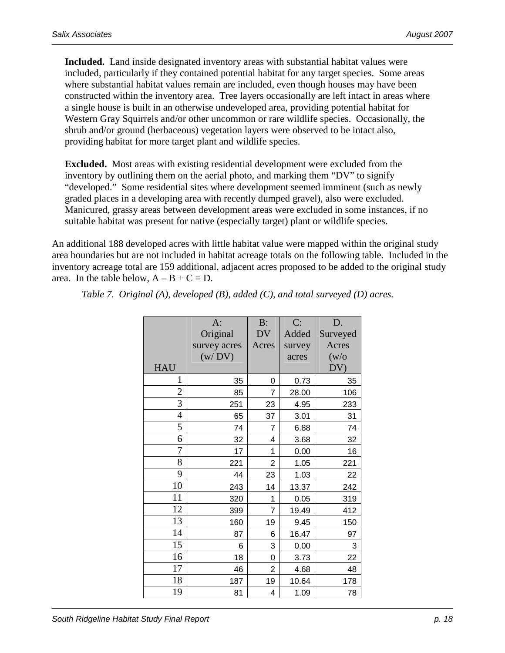**Included.** Land inside designated inventory areas with substantial habitat values were included, particularly if they contained potential habitat for any target species. Some areas where substantial habitat values remain are included, even though houses may have been constructed within the inventory area. Tree layers occasionally are left intact in areas where a single house is built in an otherwise undeveloped area, providing potential habitat for Western Gray Squirrels and/or other uncommon or rare wildlife species. Occasionally, the shrub and/or ground (herbaceous) vegetation layers were observed to be intact also, providing habitat for more target plant and wildlife species.

**Excluded.** Most areas with existing residential development were excluded from the inventory by outlining them on the aerial photo, and marking them "DV" to signify "developed." Some residential sites where development seemed imminent (such as newly graded places in a developing area with recently dumped gravel), also were excluded. Manicured, grassy areas between development areas were excluded in some instances, if no suitable habitat was present for native (especially target) plant or wildlife species.

An additional 188 developed acres with little habitat value were mapped within the original study area boundaries but are not included in habitat acreage totals on the following table. Included in the inventory acreage total are 159 additional, adjacent acres proposed to be added to the original study area. In the table below,  $A - B + C = D$ .

|                | A:           | $B$ :     | C:     | D.         |
|----------------|--------------|-----------|--------|------------|
|                | Original     | <b>DV</b> | Added  | Surveyed   |
|                | survey acres | Acres     | survey | Acres      |
|                | (w/DV)       |           | acres  | (w/o)      |
| <b>HAU</b>     |              |           |        | DV)        |
| 1              | 35           | 0         | 0.73   | 35         |
| $\overline{c}$ | 85           | 7         | 28.00  | 106        |
| 3              | 251          | 23        | 4.95   | 233        |
| $\overline{4}$ | 65           | 37        | 3.01   | 31         |
| 5              | 74           | 7         | 6.88   | 74         |
| 6              | 32           | 4         | 3.68   | 32         |
| $\overline{7}$ | 17           | 1         | 0.00   | 16         |
| 8              | 221          | 2         | 1.05   | <u>221</u> |
| 9              | 44           | 23        | 1.03   | 22         |
| 10             | 243          | 14        | 13.37  | 242        |
| 11             | 320          | 1         | 0.05   | 319        |
| 12             | 399          | 7         | 19.49  | 412        |
| 13             | 160          | 19        | 9.45   | 150        |
| 14             | 87           | 6         | 16.47  | 97         |
| 15             | 6            | 3         | 0.00   | 3          |
| 16             | 18           | 0         | 3.73   | 22         |
| 17             | 46           | 2         | 4.68   | 48         |
| 18             | 187          | 19        | 10.64  | 178        |
| 19             | 81           | 4         | 1.09   | 78         |

*Table 7. Original (A), developed (B), added (C), and total surveyed (D) acres.*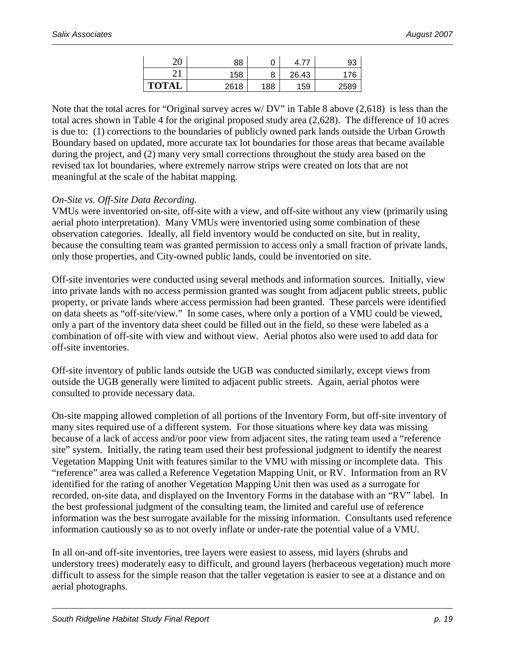| ററ<br>۷J     | 88   | ັ      |       | 93   |
|--------------|------|--------|-------|------|
| ົາ 1         | 158  | o<br>O | 26.43 | 176  |
| <b>TOTAL</b> | 2618 | 188    | 159   | 2589 |

Note that the total acres for "Original survey acres w/ DV" in Table 8 above (2,618) is less than the total acres shown in Table 4 for the original proposed study area (2,628). The difference of 10 acres is due to: (1) corrections to the boundaries of publicly owned park lands outside the Urban Growth Boundary based on updated, more accurate tax lot boundaries for those areas that became available during the project, and (2) many very small corrections throughout the study area based on the revised tax lot boundaries, where extremely narrow strips were created on lots that are not meaningful at the scale of the habitat mapping.

#### *On-Site vs. Off-Site Data Recording.*

VMUs were inventoried on-site, off-site with a view, and off-site without any view (primarily using aerial photo interpretation). Many VMUs were inventoried using some combination of these observation categories. Ideally, all field inventory would be conducted on site, but in reality, because the consulting team was granted permission to access only a small fraction of private lands, only those properties, and City-owned public lands, could be inventoried on site.

Off-site inventories were conducted using several methods and information sources. Initially, view into private lands with no access permission granted was sought from adjacent public streets, public property, or private lands where access permission had been granted. These parcels were identified on data sheets as "off-site/view." In some cases, where only a portion of a VMU could be viewed, only a part of the inventory data sheet could be filled out in the field, so these were labeled as a combination of off-site with view and without view. Aerial photos also were used to add data for off-site inventories.

Off-site inventory of public lands outside the UGB was conducted similarly, except views from outside the UGB generally were limited to adjacent public streets. Again, aerial photos were consulted to provide necessary data.

On-site mapping allowed completion of all portions of the Inventory Form, but off-site inventory of many sites required use of a different system. For those situations where key data was missing because of a lack of access and/or poor view from adjacent sites, the rating team used a "reference site" system. Initially, the rating team used their best professional judgment to identify the nearest Vegetation Mapping Unit with features similar to the VMU with missing or incomplete data. This "reference" area was called a Reference Vegetation Mapping Unit, or RV. Information from an RV identified for the rating of another Vegetation Mapping Unit then was used as a surrogate for recorded, on-site data, and displayed on the Inventory Forms in the database with an "RV" label. In the best professional judgment of the consulting team, the limited and careful use of reference information was the best surrogate available for the missing information. Consultants used reference information cautiously so as to not overly inflate or under-rate the potential value of a VMU.

In all on-and off-site inventories, tree layers were easiest to assess, mid layers (shrubs and understory trees) moderately easy to difficult, and ground layers (herbaceous vegetation) much more difficult to assess for the simple reason that the taller vegetation is easier to see at a distance and on aerial photographs.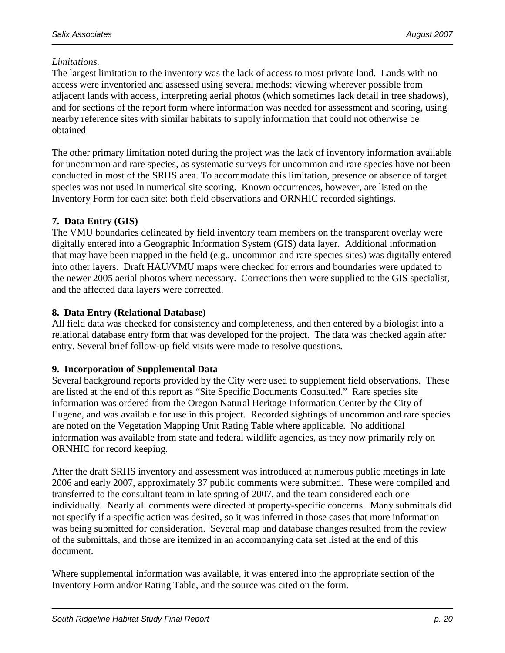#### *Limitations.*

The largest limitation to the inventory was the lack of access to most private land. Lands with no access were inventoried and assessed using several methods: viewing wherever possible from adjacent lands with access, interpreting aerial photos (which sometimes lack detail in tree shadows), and for sections of the report form where information was needed for assessment and scoring, using nearby reference sites with similar habitats to supply information that could not otherwise be obtained

The other primary limitation noted during the project was the lack of inventory information available for uncommon and rare species, as systematic surveys for uncommon and rare species have not been conducted in most of the SRHS area. To accommodate this limitation, presence or absence of target species was not used in numerical site scoring. Known occurrences, however, are listed on the Inventory Form for each site: both field observations and ORNHIC recorded sightings.

#### **7. Data Entry (GIS)**

The VMU boundaries delineated by field inventory team members on the transparent overlay were digitally entered into a Geographic Information System (GIS) data layer. Additional information that may have been mapped in the field (e.g., uncommon and rare species sites) was digitally entered into other layers. Draft HAU/VMU maps were checked for errors and boundaries were updated to the newer 2005 aerial photos where necessary. Corrections then were supplied to the GIS specialist, and the affected data layers were corrected.

#### **8. Data Entry (Relational Database)**

All field data was checked for consistency and completeness, and then entered by a biologist into a relational database entry form that was developed for the project. The data was checked again after entry. Several brief follow-up field visits were made to resolve questions.

#### **9. Incorporation of Supplemental Data**

Several background reports provided by the City were used to supplement field observations. These are listed at the end of this report as "Site Specific Documents Consulted." Rare species site information was ordered from the Oregon Natural Heritage Information Center by the City of Eugene, and was available for use in this project. Recorded sightings of uncommon and rare species are noted on the Vegetation Mapping Unit Rating Table where applicable. No additional information was available from state and federal wildlife agencies, as they now primarily rely on ORNHIC for record keeping.

After the draft SRHS inventory and assessment was introduced at numerous public meetings in late 2006 and early 2007, approximately 37 public comments were submitted. These were compiled and transferred to the consultant team in late spring of 2007, and the team considered each one individually. Nearly all comments were directed at property-specific concerns. Many submittals did not specify if a specific action was desired, so it was inferred in those cases that more information was being submitted for consideration. Several map and database changes resulted from the review of the submittals, and those are itemized in an accompanying data set listed at the end of this document.

Where supplemental information was available, it was entered into the appropriate section of the Inventory Form and/or Rating Table, and the source was cited on the form.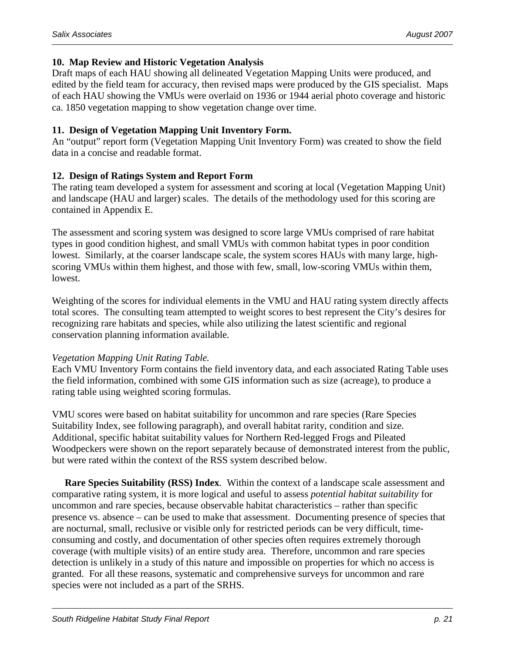#### **10. Map Review and Historic Vegetation Analysis**

Draft maps of each HAU showing all delineated Vegetation Mapping Units were produced, and edited by the field team for accuracy, then revised maps were produced by the GIS specialist. Maps of each HAU showing the VMUs were overlaid on 1936 or 1944 aerial photo coverage and historic ca. 1850 vegetation mapping to show vegetation change over time.

#### **11. Design of Vegetation Mapping Unit Inventory Form.**

An "output" report form (Vegetation Mapping Unit Inventory Form) was created to show the field data in a concise and readable format.

#### **12. Design of Ratings System and Report Form**

The rating team developed a system for assessment and scoring at local (Vegetation Mapping Unit) and landscape (HAU and larger) scales. The details of the methodology used for this scoring are contained in Appendix E.

The assessment and scoring system was designed to score large VMUs comprised of rare habitat types in good condition highest, and small VMUs with common habitat types in poor condition lowest. Similarly, at the coarser landscape scale, the system scores HAUs with many large, highscoring VMUs within them highest, and those with few, small, low-scoring VMUs within them, lowest.

Weighting of the scores for individual elements in the VMU and HAU rating system directly affects total scores. The consulting team attempted to weight scores to best represent the City's desires for recognizing rare habitats and species, while also utilizing the latest scientific and regional conservation planning information available.

#### *Vegetation Mapping Unit Rating Table.*

Each VMU Inventory Form contains the field inventory data, and each associated Rating Table uses the field information, combined with some GIS information such as size (acreage), to produce a rating table using weighted scoring formulas.

VMU scores were based on habitat suitability for uncommon and rare species (Rare Species Suitability Index, see following paragraph), and overall habitat rarity, condition and size. Additional, specific habitat suitability values for Northern Red-legged Frogs and Pileated Woodpeckers were shown on the report separately because of demonstrated interest from the public, but were rated within the context of the RSS system described below.

**Rare Species Suitability (RSS) Index***.* Within the context of a landscape scale assessment and comparative rating system, it is more logical and useful to assess *potential habitat suitability* for uncommon and rare species, because observable habitat characteristics – rather than specific presence vs. absence – can be used to make that assessment. Documenting presence of species that are nocturnal, small, reclusive or visible only for restricted periods can be very difficult, timeconsuming and costly, and documentation of other species often requires extremely thorough coverage (with multiple visits) of an entire study area. Therefore, uncommon and rare species detection is unlikely in a study of this nature and impossible on properties for which no access is granted. For all these reasons, systematic and comprehensive surveys for uncommon and rare species were not included as a part of the SRHS.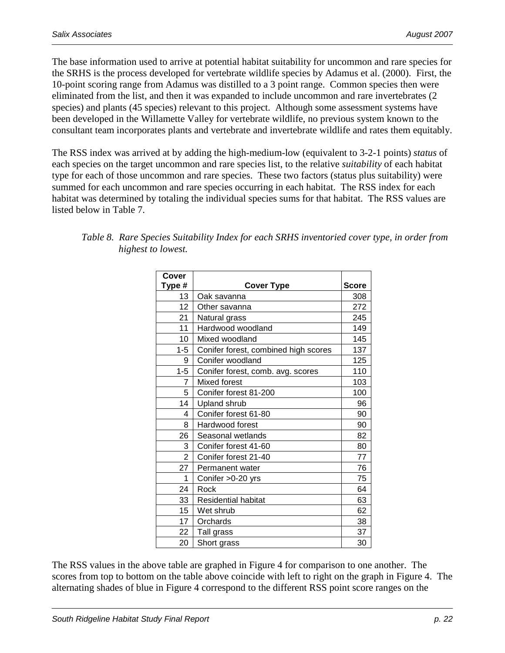The base information used to arrive at potential habitat suitability for uncommon and rare species for the SRHS is the process developed for vertebrate wildlife species by Adamus et al. (2000). First, the 10-point scoring range from Adamus was distilled to a 3 point range. Common species then were eliminated from the list, and then it was expanded to include uncommon and rare invertebrates (2 species) and plants (45 species) relevant to this project. Although some assessment systems have been developed in the Willamette Valley for vertebrate wildlife, no previous system known to the consultant team incorporates plants and vertebrate and invertebrate wildlife and rates them equitably.

The RSS index was arrived at by adding the high-medium-low (equivalent to 3-2-1 points) *status* of each species on the target uncommon and rare species list, to the relative *suitability* of each habitat type for each of those uncommon and rare species. These two factors (status plus suitability) were summed for each uncommon and rare species occurring in each habitat. The RSS index for each habitat was determined by totaling the individual species sums for that habitat. The RSS values are listed below in Table 7.

| Cover           |                                      |              |
|-----------------|--------------------------------------|--------------|
| Type #          | <b>Cover Type</b>                    | <b>Score</b> |
| 13              | Oak savanna                          | 308          |
| 12 <sup>2</sup> | Other savanna                        | 272          |
| 21              | Natural grass                        | 245          |
| 11              | Hardwood woodland                    | 149          |
| 10              | Mixed woodland                       | 145          |
| 1-5             | Conifer forest, combined high scores | 137          |
| 9               | Conifer woodland                     | 125          |
| $1 - 5$         | Conifer forest, comb. avg. scores    | 110          |
| $\overline{7}$  | Mixed forest                         | 103          |
| 5               | Conifer forest 81-200                | 100          |
| 14              | <b>Upland shrub</b>                  | 96           |
| 4               | Conifer forest 61-80                 | 90           |
| 8               | Hardwood forest                      | 90           |
| 26              | Seasonal wetlands                    | 82           |
| 3               | Conifer forest 41-60                 | 80           |
| $\overline{2}$  | Conifer forest 21-40                 | 77           |
| 27              | Permanent water                      | 76           |
| 1               | Conifer > 0-20 yrs                   | 75           |
| 24              | Rock                                 | 64           |
| 33              | <b>Residential habitat</b>           | 63           |
| 15              | Wet shrub                            | 62           |
| 17              | Orchards                             | 38           |
| 22              | Tall grass                           | 37           |
| 20              | Short grass                          | 30           |

| Table 8. Rare Species Suitability Index for each SRHS inventoried cover type, in order from |
|---------------------------------------------------------------------------------------------|
| highest to lowest.                                                                          |

The RSS values in the above table are graphed in Figure 4 for comparison to one another. The scores from top to bottom on the table above coincide with left to right on the graph in Figure 4. The alternating shades of blue in Figure 4 correspond to the different RSS point score ranges on the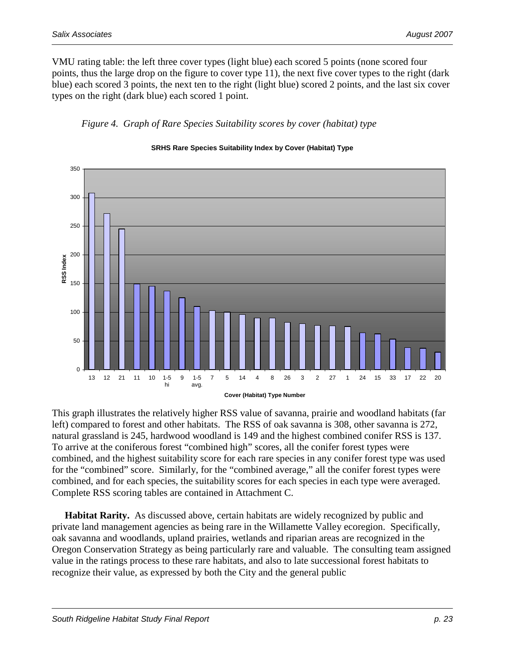VMU rating table: the left three cover types (light blue) each scored 5 points (none scored four points, thus the large drop on the figure to cover type 11), the next five cover types to the right (dark blue) each scored 3 points, the next ten to the right (light blue) scored 2 points, and the last six cover types on the right (dark blue) each scored 1 point.





#### **SRHS Rare Species Suitability Index by Cover (Habitat) Type**

This graph illustrates the relatively higher RSS value of savanna, prairie and woodland habitats (far left) compared to forest and other habitats. The RSS of oak savanna is 308, other savanna is 272, natural grassland is 245, hardwood woodland is 149 and the highest combined conifer RSS is 137. To arrive at the coniferous forest "combined high" scores, all the conifer forest types were combined, and the highest suitability score for each rare species in any conifer forest type was used for the "combined" score. Similarly, for the "combined average," all the conifer forest types were combined, and for each species, the suitability scores for each species in each type were averaged. Complete RSS scoring tables are contained in Attachment C.

**Habitat Rarity.**As discussed above, certain habitats are widely recognized by public and private land management agencies as being rare in the Willamette Valley ecoregion. Specifically, oak savanna and woodlands, upland prairies, wetlands and riparian areas are recognized in the Oregon Conservation Strategy as being particularly rare and valuable. The consulting team assigned value in the ratings process to these rare habitats, and also to late successional forest habitats to recognize their value, as expressed by both the City and the general public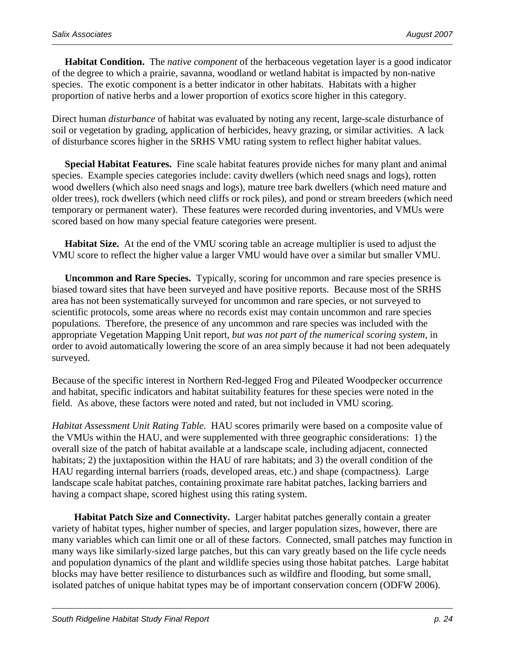**Habitat Condition.**The *native component* of the herbaceous vegetation layer is a good indicator of the degree to which a prairie, savanna, woodland or wetland habitat is impacted by non-native species. The exotic component is a better indicator in other habitats. Habitats with a higher proportion of native herbs and a lower proportion of exotics score higher in this category.

Direct human *disturbance* of habitat was evaluated by noting any recent, large-scale disturbance of soil or vegetation by grading, application of herbicides, heavy grazing, or similar activities. A lack of disturbance scores higher in the SRHS VMU rating system to reflect higher habitat values.

**Special Habitat Features.**Fine scale habitat features provide niches for many plant and animal species. Example species categories include: cavity dwellers (which need snags and logs), rotten wood dwellers (which also need snags and logs), mature tree bark dwellers (which need mature and older trees), rock dwellers (which need cliffs or rock piles), and pond or stream breeders (which need temporary or permanent water). These features were recorded during inventories, and VMUs were scored based on how many special feature categories were present.

**Habitat Size.**At the end of the VMU scoring table an acreage multiplier is used to adjust the VMU score to reflect the higher value a larger VMU would have over a similar but smaller VMU.

**Uncommon and Rare Species.**Typically, scoring for uncommon and rare species presence is biased toward sites that have been surveyed and have positive reports. Because most of the SRHS area has not been systematically surveyed for uncommon and rare species, or not surveyed to scientific protocols, some areas where no records exist may contain uncommon and rare species populations. Therefore, the presence of any uncommon and rare species was included with the appropriate Vegetation Mapping Unit report, *but was not part of the numerical scoring system*, in order to avoid automatically lowering the score of an area simply because it had not been adequately surveyed.

Because of the specific interest in Northern Red-legged Frog and Pileated Woodpecker occurrence and habitat, specific indicators and habitat suitability features for these species were noted in the field. As above, these factors were noted and rated, but not included in VMU scoring.

*Habitat Assessment Unit Rating Table.* HAU scores primarily were based on a composite value of the VMUs within the HAU, and were supplemented with three geographic considerations: 1) the overall size of the patch of habitat available at a landscape scale, including adjacent, connected habitats; 2) the juxtaposition within the HAU of rare habitats; and 3) the overall condition of the HAU regarding internal barriers (roads, developed areas, etc.) and shape (compactness). Large landscape scale habitat patches, containing proximate rare habitat patches, lacking barriers and having a compact shape, scored highest using this rating system.

**Habitat Patch Size and Connectivity.** Larger habitat patches generally contain a greater variety of habitat types, higher number of species, and larger population sizes, however, there are many variables which can limit one or all of these factors. Connected, small patches may function in many ways like similarly-sized large patches, but this can vary greatly based on the life cycle needs and population dynamics of the plant and wildlife species using those habitat patches. Large habitat blocks may have better resilience to disturbances such as wildfire and flooding, but some small, isolated patches of unique habitat types may be of important conservation concern (ODFW 2006).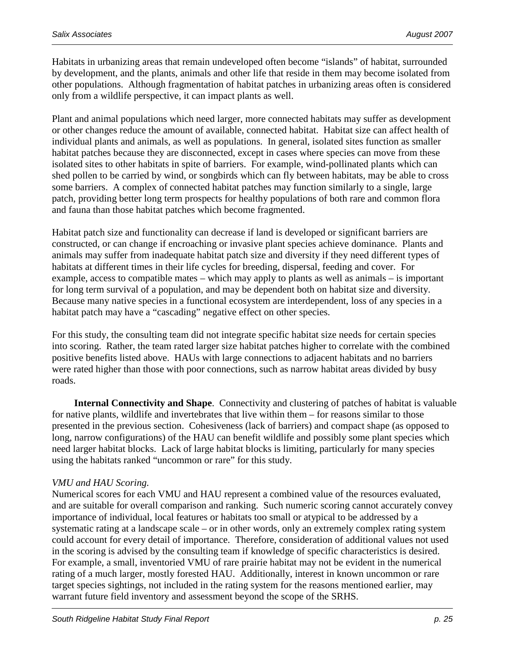Habitats in urbanizing areas that remain undeveloped often become "islands" of habitat, surrounded by development, and the plants, animals and other life that reside in them may become isolated from other populations. Although fragmentation of habitat patches in urbanizing areas often is considered only from a wildlife perspective, it can impact plants as well.

Plant and animal populations which need larger, more connected habitats may suffer as development or other changes reduce the amount of available, connected habitat. Habitat size can affect health of individual plants and animals, as well as populations. In general, isolated sites function as smaller habitat patches because they are disconnected, except in cases where species can move from these isolated sites to other habitats in spite of barriers. For example, wind-pollinated plants which can shed pollen to be carried by wind, or songbirds which can fly between habitats, may be able to cross some barriers. A complex of connected habitat patches may function similarly to a single, large patch, providing better long term prospects for healthy populations of both rare and common flora and fauna than those habitat patches which become fragmented.

Habitat patch size and functionality can decrease if land is developed or significant barriers are constructed, or can change if encroaching or invasive plant species achieve dominance. Plants and animals may suffer from inadequate habitat patch size and diversity if they need different types of habitats at different times in their life cycles for breeding, dispersal, feeding and cover. For example, access to compatible mates – which may apply to plants as well as animals – is important for long term survival of a population, and may be dependent both on habitat size and diversity. Because many native species in a functional ecosystem are interdependent, loss of any species in a habitat patch may have a "cascading" negative effect on other species.

For this study, the consulting team did not integrate specific habitat size needs for certain species into scoring. Rather, the team rated larger size habitat patches higher to correlate with the combined positive benefits listed above. HAUs with large connections to adjacent habitats and no barriers were rated higher than those with poor connections, such as narrow habitat areas divided by busy roads.

**Internal Connectivity and Shape**. Connectivity and clustering of patches of habitat is valuable for native plants, wildlife and invertebrates that live within them – for reasons similar to those presented in the previous section. Cohesiveness (lack of barriers) and compact shape (as opposed to long, narrow configurations) of the HAU can benefit wildlife and possibly some plant species which need larger habitat blocks. Lack of large habitat blocks is limiting, particularly for many species using the habitats ranked "uncommon or rare" for this study.

#### *VMU and HAU Scoring.*

Numerical scores for each VMU and HAU represent a combined value of the resources evaluated, and are suitable for overall comparison and ranking. Such numeric scoring cannot accurately convey importance of individual, local features or habitats too small or atypical to be addressed by a systematic rating at a landscape scale – or in other words, only an extremely complex rating system could account for every detail of importance. Therefore, consideration of additional values not used in the scoring is advised by the consulting team if knowledge of specific characteristics is desired. For example, a small, inventoried VMU of rare prairie habitat may not be evident in the numerical rating of a much larger, mostly forested HAU. Additionally, interest in known uncommon or rare target species sightings, not included in the rating system for the reasons mentioned earlier, may warrant future field inventory and assessment beyond the scope of the SRHS.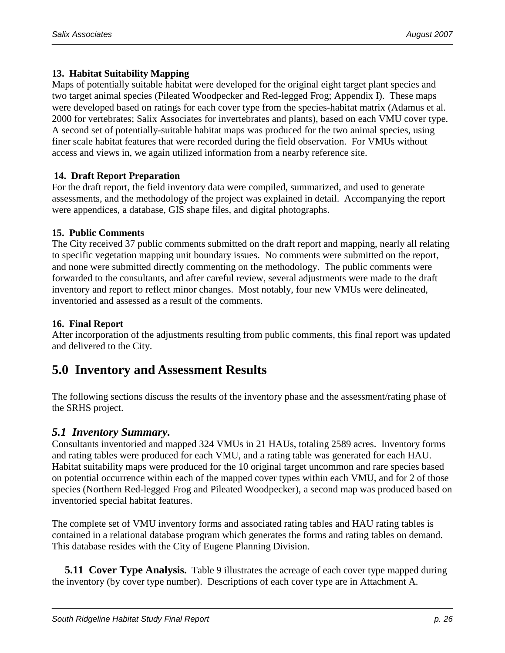#### **13. Habitat Suitability Mapping**

Maps of potentially suitable habitat were developed for the original eight target plant species and two target animal species (Pileated Woodpecker and Red-legged Frog; Appendix I). These maps were developed based on ratings for each cover type from the species-habitat matrix (Adamus et al. 2000 for vertebrates; Salix Associates for invertebrates and plants), based on each VMU cover type. A second set of potentially-suitable habitat maps was produced for the two animal species, using finer scale habitat features that were recorded during the field observation. For VMUs without access and views in, we again utilized information from a nearby reference site.

#### **14. Draft Report Preparation**

For the draft report, the field inventory data were compiled, summarized, and used to generate assessments, and the methodology of the project was explained in detail. Accompanying the report were appendices, a database, GIS shape files, and digital photographs.

#### **15. Public Comments**

The City received 37 public comments submitted on the draft report and mapping, nearly all relating to specific vegetation mapping unit boundary issues. No comments were submitted on the report, and none were submitted directly commenting on the methodology. The public comments were forwarded to the consultants, and after careful review, several adjustments were made to the draft inventory and report to reflect minor changes. Most notably, four new VMUs were delineated, inventoried and assessed as a result of the comments.

#### **16. Final Report**

After incorporation of the adjustments resulting from public comments, this final report was updated and delivered to the City.

### **5.0 Inventory and Assessment Results**

The following sections discuss the results of the inventory phase and the assessment/rating phase of the SRHS project.

#### *5.1 Inventory Summary.*

Consultants inventoried and mapped 324 VMUs in 21 HAUs, totaling 2589 acres. Inventory forms and rating tables were produced for each VMU, and a rating table was generated for each HAU. Habitat suitability maps were produced for the 10 original target uncommon and rare species based on potential occurrence within each of the mapped cover types within each VMU, and for 2 of those species (Northern Red-legged Frog and Pileated Woodpecker), a second map was produced based on inventoried special habitat features.

The complete set of VMU inventory forms and associated rating tables and HAU rating tables is contained in a relational database program which generates the forms and rating tables on demand. This database resides with the City of Eugene Planning Division.

**5.11 Cover Type Analysis.** Table 9 illustrates the acreage of each cover type mapped during the inventory (by cover type number). Descriptions of each cover type are in Attachment A.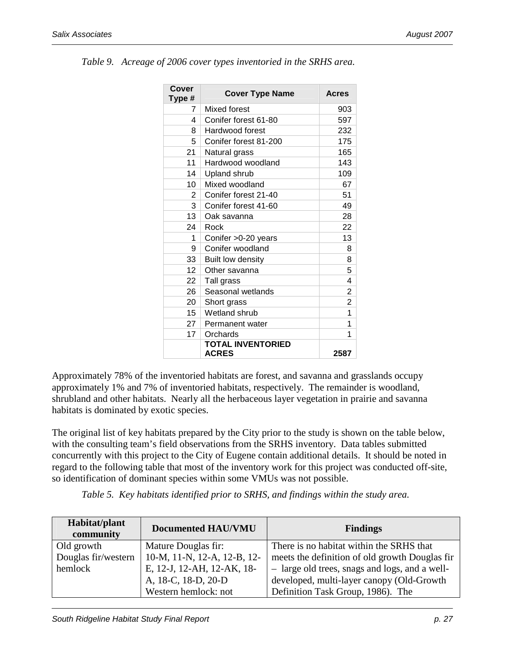| <b>Cover</b><br>Type # | <b>Cover Type Name</b>                   | <b>Acres</b>   |
|------------------------|------------------------------------------|----------------|
| 7                      | Mixed forest                             | 903            |
| 4                      | Conifer forest 61-80                     | 597            |
| 8                      | Hardwood forest                          | 232            |
| 5                      | Conifer forest 81-200                    | 175            |
| 21                     | Natural grass                            | 165            |
| 11                     | Hardwood woodland                        | 143            |
| 14                     | Upland shrub                             | 109            |
| 10                     | Mixed woodland                           | 67             |
| 2                      | Conifer forest 21-40                     | 51             |
| 3                      | Conifer forest 41-60                     | 49             |
| 13                     | Oak savanna                              | 28             |
| 24                     | Rock                                     | 22             |
| 1                      | Conifer >0-20 years                      | 13             |
| 9                      | Conifer woodland                         | 8              |
| 33                     | Built low density                        | 8              |
| 12                     | Other savanna                            | 5              |
| 22                     | Tall grass                               | 4              |
| 26                     | Seasonal wetlands                        | 2              |
| 20                     | Short grass                              | $\overline{2}$ |
| 15                     | Wetland shrub                            | 1              |
| 27                     | Permanent water                          | 1              |
| 17                     | Orchards                                 | 1              |
|                        | <b>TOTAL INVENTORIED</b><br><b>ACRES</b> | 2587           |

*Table 9. Acreage of 2006 cover types inventoried in the SRHS area.* 

Approximately 78% of the inventoried habitats are forest, and savanna and grasslands occupy approximately 1% and 7% of inventoried habitats, respectively. The remainder is woodland, shrubland and other habitats. Nearly all the herbaceous layer vegetation in prairie and savanna habitats is dominated by exotic species.

The original list of key habitats prepared by the City prior to the study is shown on the table below, with the consulting team's field observations from the SRHS inventory. Data tables submitted concurrently with this project to the City of Eugene contain additional details. It should be noted in regard to the following table that most of the inventory work for this project was conducted off-site, so identification of dominant species within some VMUs was not possible.

| Habitat/plant<br>community | <b>Documented HAU/VMU</b>   | <b>Findings</b>                                |
|----------------------------|-----------------------------|------------------------------------------------|
| Old growth                 | Mature Douglas fir:         | There is no habitat within the SRHS that       |
| Douglas fir/western        | 10-M, 11-N, 12-A, 12-B, 12- | meets the definition of old growth Douglas fir |
| hemlock                    | E, 12-J, 12-AH, 12-AK, 18-  | - large old trees, snags and logs, and a well- |
|                            | A, 18-C, 18-D, 20-D         | developed, multi-layer canopy (Old-Growth      |
|                            | Western hemlock: not        | Definition Task Group, 1986). The              |

*Table 5. Key habitats identified prior to SRHS, and findings within the study area.*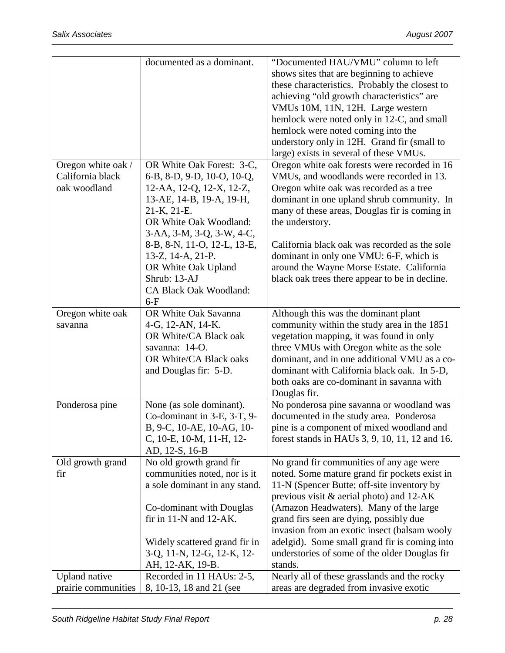|                      | documented as a dominant.     | "Documented HAU/VMU" column to left                   |
|----------------------|-------------------------------|-------------------------------------------------------|
|                      |                               | shows sites that are beginning to achieve             |
|                      |                               | these characteristics. Probably the closest to        |
|                      |                               | achieving "old growth characteristics" are            |
|                      |                               | VMUs 10M, 11N, 12H. Large western                     |
|                      |                               | hemlock were noted only in 12-C, and small            |
|                      |                               | hemlock were noted coming into the                    |
|                      |                               | understory only in 12H. Grand fir (small to           |
|                      |                               | large) exists in several of these VMUs.               |
| Oregon white oak /   | OR White Oak Forest: 3-C,     | Oregon white oak forests were recorded in 16          |
| California black     |                               |                                                       |
|                      | 6-B, 8-D, 9-D, 10-O, 10-Q,    | VMU <sub>s</sub> , and woodlands were recorded in 13. |
| oak woodland         | 12-AA, 12-Q, 12-X, 12-Z,      | Oregon white oak was recorded as a tree               |
|                      | 13-AE, 14-B, 19-A, 19-H,      | dominant in one upland shrub community. In            |
|                      | 21-K, 21-E.                   | many of these areas, Douglas fir is coming in         |
|                      | OR White Oak Woodland:        | the understory.                                       |
|                      | 3-AA, 3-M, 3-Q, 3-W, 4-C,     |                                                       |
|                      | 8-B, 8-N, 11-O, 12-L, 13-E,   | California black oak was recorded as the sole         |
|                      | 13-Z, 14-A, 21-P.             | dominant in only one VMU: 6-F, which is               |
|                      | OR White Oak Upland           | around the Wayne Morse Estate. California             |
|                      | Shrub: 13-AJ                  | black oak trees there appear to be in decline.        |
|                      | CA Black Oak Woodland:        |                                                       |
|                      | $6-F$                         |                                                       |
| Oregon white oak     | OR White Oak Savanna          | Although this was the dominant plant                  |
| savanna              | 4-G, 12-AN, 14-K.             | community within the study area in the 1851           |
|                      | OR White/CA Black oak         | vegetation mapping, it was found in only              |
|                      | savanna: 14-O.                | three VMUs with Oregon white as the sole              |
|                      | OR White/CA Black oaks        | dominant, and in one additional VMU as a co-          |
|                      | and Douglas fir: 5-D.         | dominant with California black oak. In 5-D,           |
|                      |                               | both oaks are co-dominant in savanna with             |
|                      |                               | Douglas fir.                                          |
| Ponderosa pine       | None (as sole dominant).      | No ponderosa pine savanna or woodland was             |
|                      | Co-dominant in 3-E, 3-T, 9-   | documented in the study area. Ponderosa               |
|                      |                               |                                                       |
|                      | B, 9-C, 10-AE, 10-AG, 10-     | pine is a component of mixed woodland and             |
|                      | C, 10-E, 10-M, 11-H, 12-      | forest stands in HAUs 3, 9, 10, 11, 12 and 16.        |
|                      | AD, 12-S, 16-B                |                                                       |
| Old growth grand     | No old growth grand fir       | No grand fir communities of any age were              |
| fir                  | communities noted, nor is it  | noted. Some mature grand fir pockets exist in         |
|                      | a sole dominant in any stand. | 11-N (Spencer Butte; off-site inventory by            |
|                      |                               | previous visit $\&$ aerial photo) and 12-AK           |
|                      | Co-dominant with Douglas      | (Amazon Headwaters). Many of the large                |
|                      | fir in $11-N$ and $12-AK$ .   | grand firs seen are dying, possibly due               |
|                      |                               | invasion from an exotic insect (balsam wooly          |
|                      | Widely scattered grand fir in | adelgid). Some small grand fir is coming into         |
|                      | 3-Q, 11-N, 12-G, 12-K, 12-    | understories of some of the older Douglas fir         |
|                      | AH, 12-AK, 19-B.              | stands.                                               |
| <b>Upland</b> native | Recorded in 11 HAUs: 2-5,     | Nearly all of these grasslands and the rocky          |
| prairie communities  | 8, 10-13, 18 and 21 (see      | areas are degraded from invasive exotic               |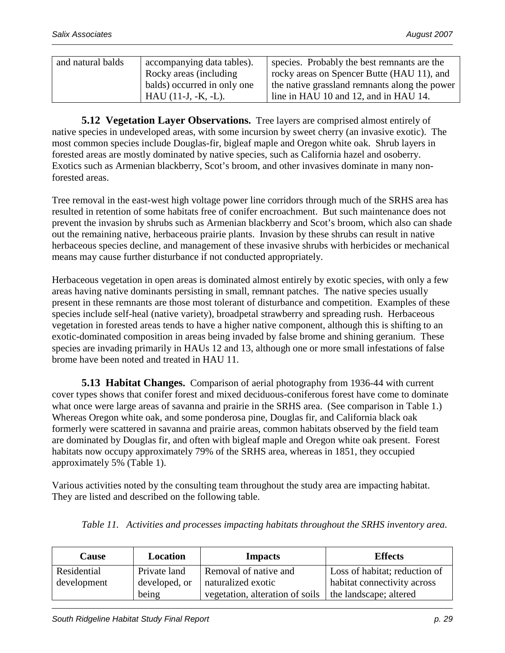| and natural balds | accompanying data tables).  | species. Probably the best remnants are the   |
|-------------------|-----------------------------|-----------------------------------------------|
|                   | Rocky areas (including      | rocky areas on Spencer Butte (HAU 11), and    |
|                   | balds) occurred in only one | the native grassland remnants along the power |
|                   | $HAU(11-J, -K, -L)$ .       | line in HAU 10 and 12, and in HAU 14.         |

**5.12 Vegetation Layer Observations.** Tree layers are comprised almost entirely of native species in undeveloped areas, with some incursion by sweet cherry (an invasive exotic). The most common species include Douglas-fir, bigleaf maple and Oregon white oak. Shrub layers in forested areas are mostly dominated by native species, such as California hazel and osoberry. Exotics such as Armenian blackberry, Scot's broom, and other invasives dominate in many nonforested areas.

Tree removal in the east-west high voltage power line corridors through much of the SRHS area has resulted in retention of some habitats free of conifer encroachment. But such maintenance does not prevent the invasion by shrubs such as Armenian blackberry and Scot's broom, which also can shade out the remaining native, herbaceous prairie plants. Invasion by these shrubs can result in native herbaceous species decline, and management of these invasive shrubs with herbicides or mechanical means may cause further disturbance if not conducted appropriately.

Herbaceous vegetation in open areas is dominated almost entirely by exotic species, with only a few areas having native dominants persisting in small, remnant patches. The native species usually present in these remnants are those most tolerant of disturbance and competition. Examples of these species include self-heal (native variety), broadpetal strawberry and spreading rush. Herbaceous vegetation in forested areas tends to have a higher native component, although this is shifting to an exotic-dominated composition in areas being invaded by false brome and shining geranium. These species are invading primarily in HAUs 12 and 13, although one or more small infestations of false brome have been noted and treated in HAU 11.

**5.13 Habitat Changes.** Comparison of aerial photography from 1936-44 with current cover types shows that conifer forest and mixed deciduous-coniferous forest have come to dominate what once were large areas of savanna and prairie in the SRHS area. (See comparison in Table 1.) Whereas Oregon white oak, and some ponderosa pine, Douglas fir, and California black oak formerly were scattered in savanna and prairie areas, common habitats observed by the field team are dominated by Douglas fir, and often with bigleaf maple and Oregon white oak present. Forest habitats now occupy approximately 79% of the SRHS area, whereas in 1851, they occupied approximately 5% (Table 1).

Various activities noted by the consulting team throughout the study area are impacting habitat. They are listed and described on the following table.

| <b>Cause</b> | Location      | <b>Impacts</b>                  | <b>Effects</b>                |
|--------------|---------------|---------------------------------|-------------------------------|
| Residential  | Private land  | Removal of native and           | Loss of habitat; reduction of |
| development  | developed, or | naturalized exotic              | habitat connectivity across   |
|              | being         | vegetation, alteration of soils | the landscape; altered        |

*Table 11. Activities and processes impacting habitats throughout the SRHS inventory area.*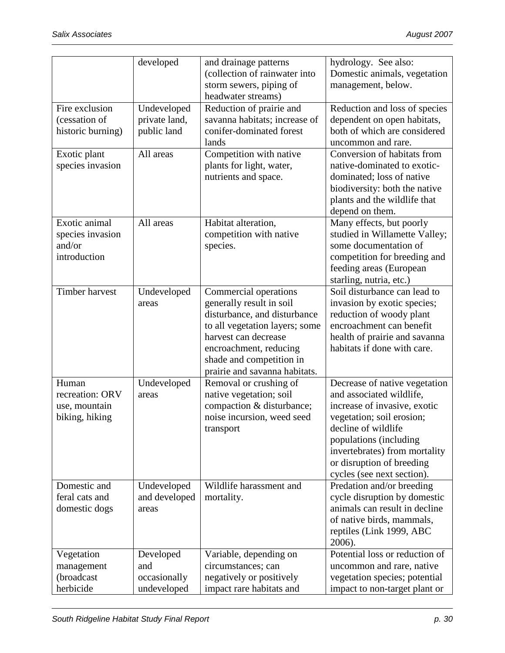|                   | developed     | and drainage patterns          | hydrology. See also:           |
|-------------------|---------------|--------------------------------|--------------------------------|
|                   |               | (collection of rainwater into  | Domestic animals, vegetation   |
|                   |               | storm sewers, piping of        | management, below.             |
|                   |               | headwater streams)             |                                |
| Fire exclusion    | Undeveloped   | Reduction of prairie and       | Reduction and loss of species  |
| (cessation of     | private land, | savanna habitats; increase of  | dependent on open habitats,    |
| historic burning) | public land   | conifer-dominated forest       | both of which are considered   |
|                   |               | lands                          | uncommon and rare.             |
| Exotic plant      | All areas     | Competition with native        | Conversion of habitats from    |
| species invasion  |               | plants for light, water,       | native-dominated to exotic-    |
|                   |               | nutrients and space.           | dominated; loss of native      |
|                   |               |                                | biodiversity: both the native  |
|                   |               |                                | plants and the wildlife that   |
|                   |               |                                | depend on them.                |
| Exotic animal     | All areas     | Habitat alteration,            | Many effects, but poorly       |
| species invasion  |               | competition with native        | studied in Willamette Valley;  |
| and/or            |               | species.                       | some documentation of          |
| introduction      |               |                                | competition for breeding and   |
|                   |               |                                | feeding areas (European        |
|                   |               |                                | starling, nutria, etc.)        |
| Timber harvest    | Undeveloped   | Commercial operations          | Soil disturbance can lead to   |
|                   | areas         | generally result in soil       | invasion by exotic species;    |
|                   |               | disturbance, and disturbance   | reduction of woody plant       |
|                   |               | to all vegetation layers; some | encroachment can benefit       |
|                   |               | harvest can decrease           | health of prairie and savanna  |
|                   |               | encroachment, reducing         | habitats if done with care.    |
|                   |               | shade and competition in       |                                |
|                   |               | prairie and savanna habitats.  |                                |
| Human             | Undeveloped   | Removal or crushing of         | Decrease of native vegetation  |
| recreation: ORV   | areas         | native vegetation; soil        | and associated wildlife,       |
| use, mountain     |               | compaction & disturbance;      | increase of invasive, exotic   |
| biking, hiking    |               | noise incursion, weed seed     | vegetation; soil erosion;      |
|                   |               | transport                      | decline of wildlife            |
|                   |               |                                | populations (including         |
|                   |               |                                | invertebrates) from mortality  |
|                   |               |                                | or disruption of breeding      |
|                   |               |                                | cycles (see next section).     |
| Domestic and      | Undeveloped   | Wildlife harassment and        | Predation and/or breeding      |
| feral cats and    | and developed | mortality.                     | cycle disruption by domestic   |
| domestic dogs     | areas         |                                | animals can result in decline  |
|                   |               |                                | of native birds, mammals,      |
|                   |               |                                | reptiles (Link 1999, ABC       |
|                   |               |                                | 2006).                         |
| Vegetation        | Developed     | Variable, depending on         | Potential loss or reduction of |
| management        | and           | circumstances; can             | uncommon and rare, native      |
| (broadcast        | occasionally  | negatively or positively       | vegetation species; potential  |
| herbicide         | undeveloped   | impact rare habitats and       | impact to non-target plant or  |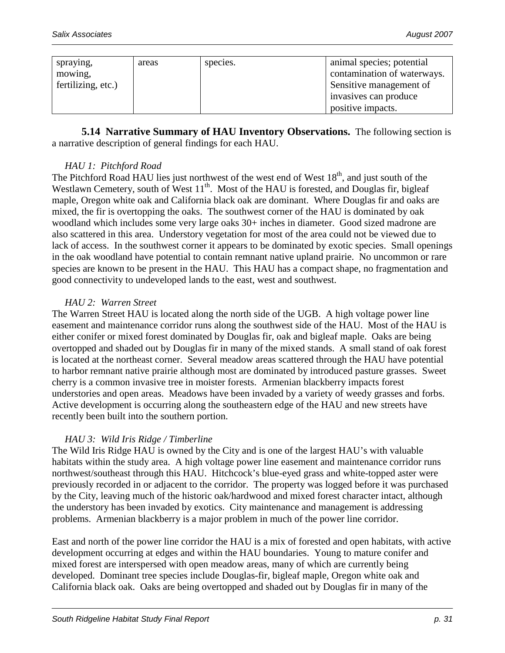| spraying,          | areas | species. | animal species; potential   |
|--------------------|-------|----------|-----------------------------|
| mowing,            |       |          | contamination of waterways. |
| fertilizing, etc.) |       |          | Sensitive management of     |
|                    |       |          | invasives can produce       |
|                    |       |          | positive impacts.           |

**5.14 Narrative Summary of HAU Inventory Observations.** The following section is a narrative description of general findings for each HAU.

#### *HAU 1: Pitchford Road*

The Pitchford Road HAU lies just northwest of the west end of West 18<sup>th</sup>, and just south of the Westlawn Cemetery, south of West  $11<sup>th</sup>$ . Most of the HAU is forested, and Douglas fir, bigleaf maple, Oregon white oak and California black oak are dominant. Where Douglas fir and oaks are mixed, the fir is overtopping the oaks. The southwest corner of the HAU is dominated by oak woodland which includes some very large oaks 30+ inches in diameter. Good sized madrone are also scattered in this area. Understory vegetation for most of the area could not be viewed due to lack of access. In the southwest corner it appears to be dominated by exotic species. Small openings in the oak woodland have potential to contain remnant native upland prairie. No uncommon or rare species are known to be present in the HAU. This HAU has a compact shape, no fragmentation and good connectivity to undeveloped lands to the east, west and southwest.

#### *HAU 2: Warren Street*

The Warren Street HAU is located along the north side of the UGB. A high voltage power line easement and maintenance corridor runs along the southwest side of the HAU. Most of the HAU is either conifer or mixed forest dominated by Douglas fir, oak and bigleaf maple. Oaks are being overtopped and shaded out by Douglas fir in many of the mixed stands. A small stand of oak forest is located at the northeast corner. Several meadow areas scattered through the HAU have potential to harbor remnant native prairie although most are dominated by introduced pasture grasses. Sweet cherry is a common invasive tree in moister forests. Armenian blackberry impacts forest understories and open areas. Meadows have been invaded by a variety of weedy grasses and forbs. Active development is occurring along the southeastern edge of the HAU and new streets have recently been built into the southern portion.

#### *HAU 3: Wild Iris Ridge / Timberline*

The Wild Iris Ridge HAU is owned by the City and is one of the largest HAU's with valuable habitats within the study area. A high voltage power line easement and maintenance corridor runs northwest/southeast through this HAU. Hitchcock's blue-eyed grass and white-topped aster were previously recorded in or adjacent to the corridor. The property was logged before it was purchased by the City, leaving much of the historic oak/hardwood and mixed forest character intact, although the understory has been invaded by exotics. City maintenance and management is addressing problems. Armenian blackberry is a major problem in much of the power line corridor.

East and north of the power line corridor the HAU is a mix of forested and open habitats, with active development occurring at edges and within the HAU boundaries. Young to mature conifer and mixed forest are interspersed with open meadow areas, many of which are currently being developed. Dominant tree species include Douglas-fir, bigleaf maple, Oregon white oak and California black oak. Oaks are being overtopped and shaded out by Douglas fir in many of the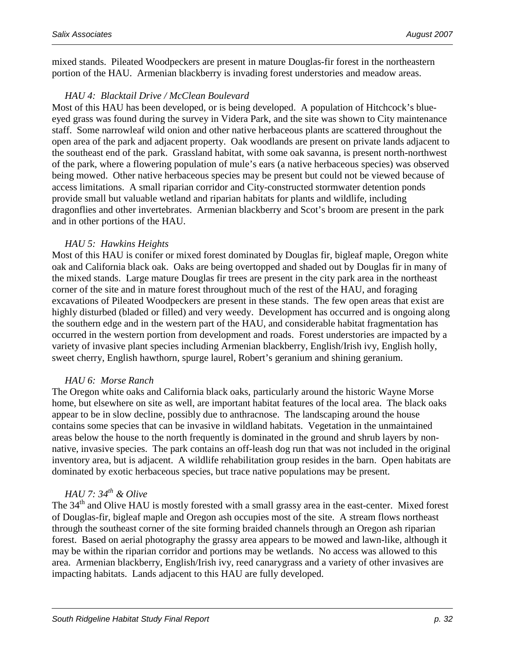mixed stands. Pileated Woodpeckers are present in mature Douglas-fir forest in the northeastern portion of the HAU. Armenian blackberry is invading forest understories and meadow areas.

#### *HAU 4: Blacktail Drive / McClean Boulevard*

Most of this HAU has been developed, or is being developed. A population of Hitchcock's blueeyed grass was found during the survey in Videra Park, and the site was shown to City maintenance staff. Some narrowleaf wild onion and other native herbaceous plants are scattered throughout the open area of the park and adjacent property. Oak woodlands are present on private lands adjacent to the southeast end of the park. Grassland habitat, with some oak savanna, is present north-northwest of the park, where a flowering population of mule's ears (a native herbaceous species) was observed being mowed. Other native herbaceous species may be present but could not be viewed because of access limitations. A small riparian corridor and City-constructed stormwater detention ponds provide small but valuable wetland and riparian habitats for plants and wildlife, including dragonflies and other invertebrates. Armenian blackberry and Scot's broom are present in the park and in other portions of the HAU.

#### *HAU 5: Hawkins Heights*

Most of this HAU is conifer or mixed forest dominated by Douglas fir, bigleaf maple, Oregon white oak and California black oak. Oaks are being overtopped and shaded out by Douglas fir in many of the mixed stands. Large mature Douglas fir trees are present in the city park area in the northeast corner of the site and in mature forest throughout much of the rest of the HAU, and foraging excavations of Pileated Woodpeckers are present in these stands. The few open areas that exist are highly disturbed (bladed or filled) and very weedy. Development has occurred and is ongoing along the southern edge and in the western part of the HAU, and considerable habitat fragmentation has occurred in the western portion from development and roads. Forest understories are impacted by a variety of invasive plant species including Armenian blackberry, English/Irish ivy, English holly, sweet cherry, English hawthorn, spurge laurel, Robert's geranium and shining geranium.

#### *HAU 6: Morse Ranch*

The Oregon white oaks and California black oaks, particularly around the historic Wayne Morse home, but elsewhere on site as well, are important habitat features of the local area. The black oaks appear to be in slow decline, possibly due to anthracnose. The landscaping around the house contains some species that can be invasive in wildland habitats. Vegetation in the unmaintained areas below the house to the north frequently is dominated in the ground and shrub layers by nonnative, invasive species. The park contains an off-leash dog run that was not included in the original inventory area, but is adjacent. A wildlife rehabilitation group resides in the barn. Open habitats are dominated by exotic herbaceous species, but trace native populations may be present.

#### *HAU 7: 34th & Olive*

The 34<sup>th</sup> and Olive HAU is mostly forested with a small grassy area in the east-center. Mixed forest of Douglas-fir, bigleaf maple and Oregon ash occupies most of the site. A stream flows northeast through the southeast corner of the site forming braided channels through an Oregon ash riparian forest. Based on aerial photography the grassy area appears to be mowed and lawn-like, although it may be within the riparian corridor and portions may be wetlands. No access was allowed to this area. Armenian blackberry, English/Irish ivy, reed canarygrass and a variety of other invasives are impacting habitats. Lands adjacent to this HAU are fully developed.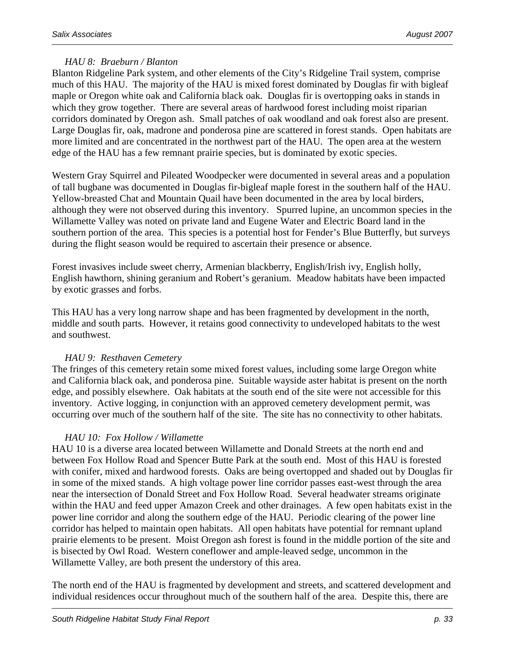#### *HAU 8: Braeburn / Blanton*

Blanton Ridgeline Park system, and other elements of the City's Ridgeline Trail system, comprise much of this HAU. The majority of the HAU is mixed forest dominated by Douglas fir with bigleaf maple or Oregon white oak and California black oak. Douglas fir is overtopping oaks in stands in which they grow together. There are several areas of hardwood forest including moist riparian corridors dominated by Oregon ash. Small patches of oak woodland and oak forest also are present. Large Douglas fir, oak, madrone and ponderosa pine are scattered in forest stands. Open habitats are more limited and are concentrated in the northwest part of the HAU. The open area at the western edge of the HAU has a few remnant prairie species, but is dominated by exotic species.

Western Gray Squirrel and Pileated Woodpecker were documented in several areas and a population of tall bugbane was documented in Douglas fir-bigleaf maple forest in the southern half of the HAU. Yellow-breasted Chat and Mountain Quail have been documented in the area by local birders, although they were not observed during this inventory. Spurred lupine, an uncommon species in the Willamette Valley was noted on private land and Eugene Water and Electric Board land in the southern portion of the area. This species is a potential host for Fender's Blue Butterfly, but surveys during the flight season would be required to ascertain their presence or absence.

Forest invasives include sweet cherry, Armenian blackberry, English/Irish ivy, English holly, English hawthorn, shining geranium and Robert's geranium. Meadow habitats have been impacted by exotic grasses and forbs.

This HAU has a very long narrow shape and has been fragmented by development in the north, middle and south parts. However, it retains good connectivity to undeveloped habitats to the west and southwest.

#### *HAU 9: Resthaven Cemetery*

The fringes of this cemetery retain some mixed forest values, including some large Oregon white and California black oak, and ponderosa pine. Suitable wayside aster habitat is present on the north edge, and possibly elsewhere. Oak habitats at the south end of the site were not accessible for this inventory. Active logging, in conjunction with an approved cemetery development permit, was occurring over much of the southern half of the site. The site has no connectivity to other habitats.

#### *HAU 10: Fox Hollow / Willamette*

HAU 10 is a diverse area located between Willamette and Donald Streets at the north end and between Fox Hollow Road and Spencer Butte Park at the south end. Most of this HAU is forested with conifer, mixed and hardwood forests. Oaks are being overtopped and shaded out by Douglas fir in some of the mixed stands. A high voltage power line corridor passes east-west through the area near the intersection of Donald Street and Fox Hollow Road. Several headwater streams originate within the HAU and feed upper Amazon Creek and other drainages. A few open habitats exist in the power line corridor and along the southern edge of the HAU. Periodic clearing of the power line corridor has helped to maintain open habitats. All open habitats have potential for remnant upland prairie elements to be present. Moist Oregon ash forest is found in the middle portion of the site and is bisected by Owl Road. Western coneflower and ample-leaved sedge, uncommon in the Willamette Valley, are both present the understory of this area.

The north end of the HAU is fragmented by development and streets, and scattered development and individual residences occur throughout much of the southern half of the area. Despite this, there are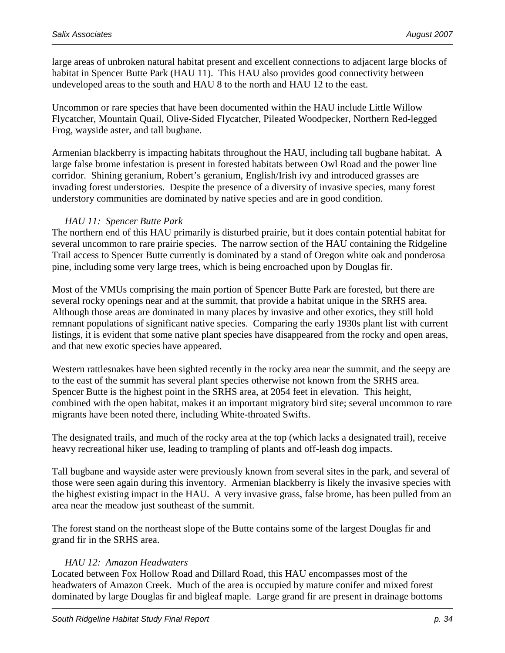large areas of unbroken natural habitat present and excellent connections to adjacent large blocks of habitat in Spencer Butte Park (HAU 11). This HAU also provides good connectivity between undeveloped areas to the south and HAU 8 to the north and HAU 12 to the east.

Uncommon or rare species that have been documented within the HAU include Little Willow Flycatcher, Mountain Quail, Olive-Sided Flycatcher, Pileated Woodpecker, Northern Red-legged Frog, wayside aster, and tall bugbane.

Armenian blackberry is impacting habitats throughout the HAU, including tall bugbane habitat. A large false brome infestation is present in forested habitats between Owl Road and the power line corridor. Shining geranium, Robert's geranium, English/Irish ivy and introduced grasses are invading forest understories. Despite the presence of a diversity of invasive species, many forest understory communities are dominated by native species and are in good condition.

#### *HAU 11: Spencer Butte Park*

The northern end of this HAU primarily is disturbed prairie, but it does contain potential habitat for several uncommon to rare prairie species. The narrow section of the HAU containing the Ridgeline Trail access to Spencer Butte currently is dominated by a stand of Oregon white oak and ponderosa pine, including some very large trees, which is being encroached upon by Douglas fir.

Most of the VMUs comprising the main portion of Spencer Butte Park are forested, but there are several rocky openings near and at the summit, that provide a habitat unique in the SRHS area. Although those areas are dominated in many places by invasive and other exotics, they still hold remnant populations of significant native species. Comparing the early 1930s plant list with current listings, it is evident that some native plant species have disappeared from the rocky and open areas, and that new exotic species have appeared.

Western rattlesnakes have been sighted recently in the rocky area near the summit, and the seepy are to the east of the summit has several plant species otherwise not known from the SRHS area. Spencer Butte is the highest point in the SRHS area, at 2054 feet in elevation. This height, combined with the open habitat, makes it an important migratory bird site; several uncommon to rare migrants have been noted there, including White-throated Swifts.

The designated trails, and much of the rocky area at the top (which lacks a designated trail), receive heavy recreational hiker use, leading to trampling of plants and off-leash dog impacts.

Tall bugbane and wayside aster were previously known from several sites in the park, and several of those were seen again during this inventory. Armenian blackberry is likely the invasive species with the highest existing impact in the HAU. A very invasive grass, false brome, has been pulled from an area near the meadow just southeast of the summit.

The forest stand on the northeast slope of the Butte contains some of the largest Douglas fir and grand fir in the SRHS area.

#### *HAU 12: Amazon Headwaters*

Located between Fox Hollow Road and Dillard Road, this HAU encompasses most of the headwaters of Amazon Creek. Much of the area is occupied by mature conifer and mixed forest dominated by large Douglas fir and bigleaf maple. Large grand fir are present in drainage bottoms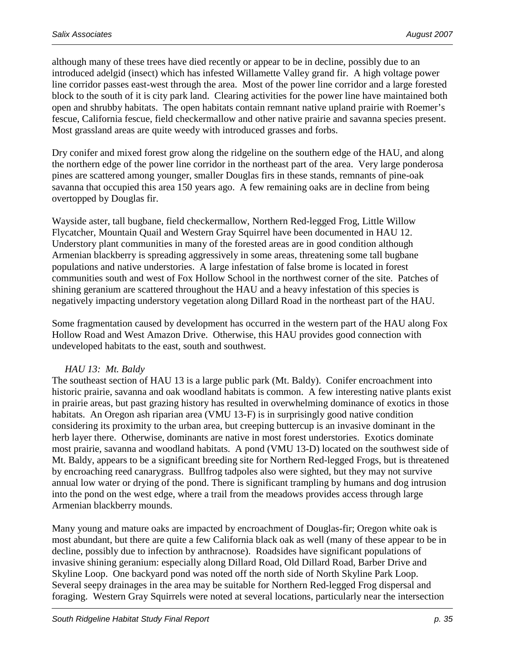although many of these trees have died recently or appear to be in decline, possibly due to an introduced adelgid (insect) which has infested Willamette Valley grand fir. A high voltage power line corridor passes east-west through the area. Most of the power line corridor and a large forested block to the south of it is city park land. Clearing activities for the power line have maintained both open and shrubby habitats. The open habitats contain remnant native upland prairie with Roemer's fescue, California fescue, field checkermallow and other native prairie and savanna species present. Most grassland areas are quite weedy with introduced grasses and forbs.

Dry conifer and mixed forest grow along the ridgeline on the southern edge of the HAU, and along the northern edge of the power line corridor in the northeast part of the area. Very large ponderosa pines are scattered among younger, smaller Douglas firs in these stands, remnants of pine-oak savanna that occupied this area 150 years ago. A few remaining oaks are in decline from being overtopped by Douglas fir.

Wayside aster, tall bugbane, field checkermallow, Northern Red-legged Frog, Little Willow Flycatcher, Mountain Quail and Western Gray Squirrel have been documented in HAU 12. Understory plant communities in many of the forested areas are in good condition although Armenian blackberry is spreading aggressively in some areas, threatening some tall bugbane populations and native understories. A large infestation of false brome is located in forest communities south and west of Fox Hollow School in the northwest corner of the site. Patches of shining geranium are scattered throughout the HAU and a heavy infestation of this species is negatively impacting understory vegetation along Dillard Road in the northeast part of the HAU.

Some fragmentation caused by development has occurred in the western part of the HAU along Fox Hollow Road and West Amazon Drive. Otherwise, this HAU provides good connection with undeveloped habitats to the east, south and southwest.

#### *HAU 13: Mt. Baldy*

The southeast section of HAU 13 is a large public park (Mt. Baldy). Conifer encroachment into historic prairie, savanna and oak woodland habitats is common. A few interesting native plants exist in prairie areas, but past grazing history has resulted in overwhelming dominance of exotics in those habitats. An Oregon ash riparian area (VMU 13-F) is in surprisingly good native condition considering its proximity to the urban area, but creeping buttercup is an invasive dominant in the herb layer there. Otherwise, dominants are native in most forest understories. Exotics dominate most prairie, savanna and woodland habitats. A pond (VMU 13-D) located on the southwest side of Mt. Baldy, appears to be a significant breeding site for Northern Red-legged Frogs, but is threatened by encroaching reed canarygrass. Bullfrog tadpoles also were sighted, but they may not survive annual low water or drying of the pond. There is significant trampling by humans and dog intrusion into the pond on the west edge, where a trail from the meadows provides access through large Armenian blackberry mounds.

Many young and mature oaks are impacted by encroachment of Douglas-fir; Oregon white oak is most abundant, but there are quite a few California black oak as well (many of these appear to be in decline, possibly due to infection by anthracnose). Roadsides have significant populations of invasive shining geranium: especially along Dillard Road, Old Dillard Road, Barber Drive and Skyline Loop. One backyard pond was noted off the north side of North Skyline Park Loop. Several seepy drainages in the area may be suitable for Northern Red-legged Frog dispersal and foraging. Western Gray Squirrels were noted at several locations, particularly near the intersection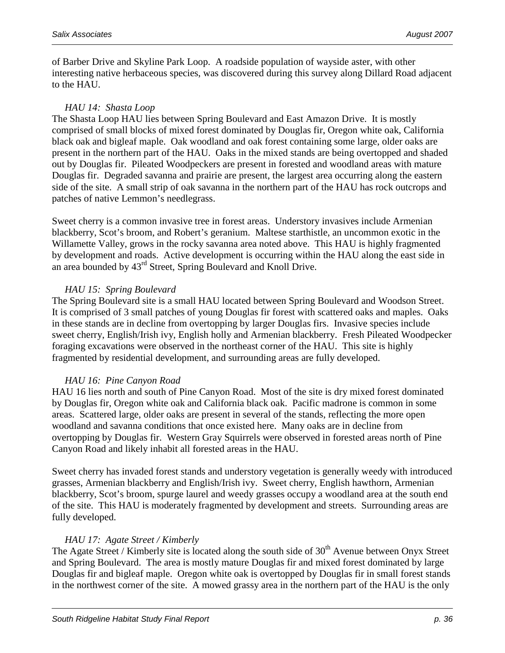of Barber Drive and Skyline Park Loop. A roadside population of wayside aster, with other interesting native herbaceous species, was discovered during this survey along Dillard Road adjacent to the HAU.

#### *HAU 14: Shasta Loop*

The Shasta Loop HAU lies between Spring Boulevard and East Amazon Drive. It is mostly comprised of small blocks of mixed forest dominated by Douglas fir, Oregon white oak, California black oak and bigleaf maple. Oak woodland and oak forest containing some large, older oaks are present in the northern part of the HAU. Oaks in the mixed stands are being overtopped and shaded out by Douglas fir. Pileated Woodpeckers are present in forested and woodland areas with mature Douglas fir. Degraded savanna and prairie are present, the largest area occurring along the eastern side of the site. A small strip of oak savanna in the northern part of the HAU has rock outcrops and patches of native Lemmon's needlegrass.

Sweet cherry is a common invasive tree in forest areas. Understory invasives include Armenian blackberry, Scot's broom, and Robert's geranium. Maltese starthistle, an uncommon exotic in the Willamette Valley, grows in the rocky savanna area noted above. This HAU is highly fragmented by development and roads. Active development is occurring within the HAU along the east side in an area bounded by 43rd Street, Spring Boulevard and Knoll Drive.

#### *HAU 15: Spring Boulevard*

The Spring Boulevard site is a small HAU located between Spring Boulevard and Woodson Street. It is comprised of 3 small patches of young Douglas fir forest with scattered oaks and maples. Oaks in these stands are in decline from overtopping by larger Douglas firs. Invasive species include sweet cherry, English/Irish ivy, English holly and Armenian blackberry. Fresh Pileated Woodpecker foraging excavations were observed in the northeast corner of the HAU. This site is highly fragmented by residential development, and surrounding areas are fully developed.

#### *HAU 16: Pine Canyon Road*

HAU 16 lies north and south of Pine Canyon Road. Most of the site is dry mixed forest dominated by Douglas fir, Oregon white oak and California black oak. Pacific madrone is common in some areas. Scattered large, older oaks are present in several of the stands, reflecting the more open woodland and savanna conditions that once existed here. Many oaks are in decline from overtopping by Douglas fir. Western Gray Squirrels were observed in forested areas north of Pine Canyon Road and likely inhabit all forested areas in the HAU.

Sweet cherry has invaded forest stands and understory vegetation is generally weedy with introduced grasses, Armenian blackberry and English/Irish ivy. Sweet cherry, English hawthorn, Armenian blackberry, Scot's broom, spurge laurel and weedy grasses occupy a woodland area at the south end of the site. This HAU is moderately fragmented by development and streets. Surrounding areas are fully developed.

#### *HAU 17: Agate Street / Kimberly*

The Agate Street / Kimberly site is located along the south side of 30<sup>th</sup> Avenue between Onyx Street and Spring Boulevard. The area is mostly mature Douglas fir and mixed forest dominated by large Douglas fir and bigleaf maple. Oregon white oak is overtopped by Douglas fir in small forest stands in the northwest corner of the site. A mowed grassy area in the northern part of the HAU is the only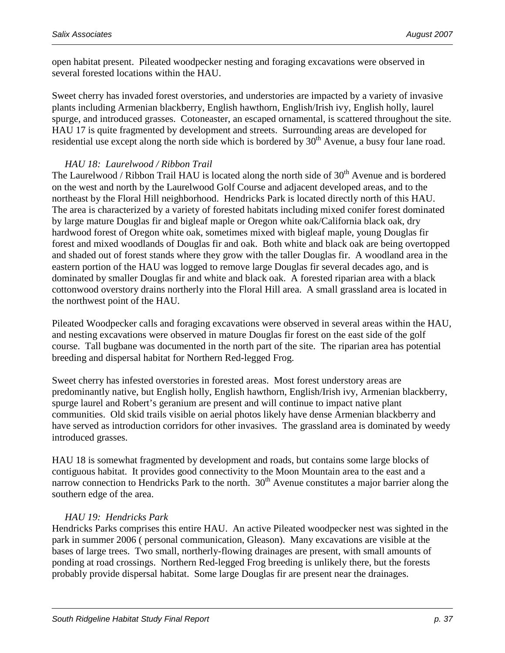open habitat present. Pileated woodpecker nesting and foraging excavations were observed in several forested locations within the HAU.

Sweet cherry has invaded forest overstories, and understories are impacted by a variety of invasive plants including Armenian blackberry, English hawthorn, English/Irish ivy, English holly, laurel spurge, and introduced grasses. Cotoneaster, an escaped ornamental, is scattered throughout the site. HAU 17 is quite fragmented by development and streets. Surrounding areas are developed for residential use except along the north side which is bordered by  $30<sup>th</sup>$  Avenue, a busy four lane road.

#### *HAU 18: Laurelwood / Ribbon Trail*

The Laurelwood / Ribbon Trail HAU is located along the north side of  $30<sup>th</sup>$  Avenue and is bordered on the west and north by the Laurelwood Golf Course and adjacent developed areas, and to the northeast by the Floral Hill neighborhood. Hendricks Park is located directly north of this HAU. The area is characterized by a variety of forested habitats including mixed conifer forest dominated by large mature Douglas fir and bigleaf maple or Oregon white oak/California black oak, dry hardwood forest of Oregon white oak, sometimes mixed with bigleaf maple, young Douglas fir forest and mixed woodlands of Douglas fir and oak. Both white and black oak are being overtopped and shaded out of forest stands where they grow with the taller Douglas fir. A woodland area in the eastern portion of the HAU was logged to remove large Douglas fir several decades ago, and is dominated by smaller Douglas fir and white and black oak. A forested riparian area with a black cottonwood overstory drains northerly into the Floral Hill area. A small grassland area is located in the northwest point of the HAU.

Pileated Woodpecker calls and foraging excavations were observed in several areas within the HAU, and nesting excavations were observed in mature Douglas fir forest on the east side of the golf course. Tall bugbane was documented in the north part of the site. The riparian area has potential breeding and dispersal habitat for Northern Red-legged Frog.

Sweet cherry has infested overstories in forested areas. Most forest understory areas are predominantly native, but English holly, English hawthorn, English/Irish ivy, Armenian blackberry, spurge laurel and Robert's geranium are present and will continue to impact native plant communities. Old skid trails visible on aerial photos likely have dense Armenian blackberry and have served as introduction corridors for other invasives. The grassland area is dominated by weedy introduced grasses.

HAU 18 is somewhat fragmented by development and roads, but contains some large blocks of contiguous habitat. It provides good connectivity to the Moon Mountain area to the east and a narrow connection to Hendricks Park to the north. 30<sup>th</sup> Avenue constitutes a major barrier along the southern edge of the area.

#### *HAU 19: Hendricks Park*

Hendricks Parks comprises this entire HAU. An active Pileated woodpecker nest was sighted in the park in summer 2006 ( personal communication, Gleason). Many excavations are visible at the bases of large trees. Two small, northerly-flowing drainages are present, with small amounts of ponding at road crossings. Northern Red-legged Frog breeding is unlikely there, but the forests probably provide dispersal habitat. Some large Douglas fir are present near the drainages.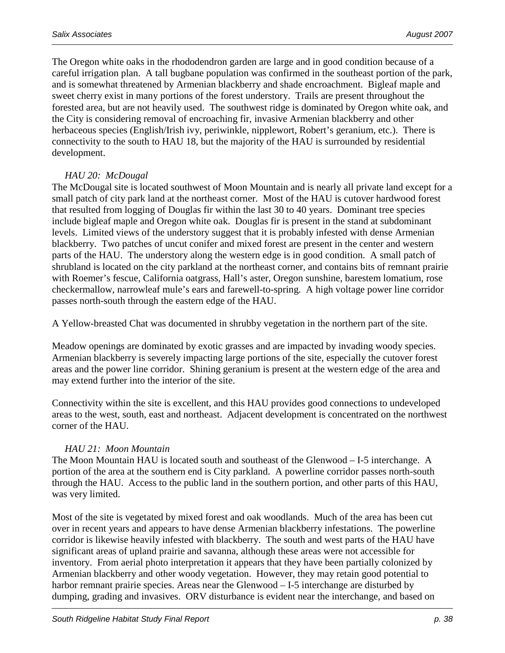The Oregon white oaks in the rhododendron garden are large and in good condition because of a careful irrigation plan. A tall bugbane population was confirmed in the southeast portion of the park, and is somewhat threatened by Armenian blackberry and shade encroachment. Bigleaf maple and sweet cherry exist in many portions of the forest understory. Trails are present throughout the forested area, but are not heavily used. The southwest ridge is dominated by Oregon white oak, and the City is considering removal of encroaching fir, invasive Armenian blackberry and other herbaceous species (English/Irish ivy, periwinkle, nipplewort, Robert's geranium, etc.). There is connectivity to the south to HAU 18, but the majority of the HAU is surrounded by residential development.

#### *HAU 20: McDougal*

The McDougal site is located southwest of Moon Mountain and is nearly all private land except for a small patch of city park land at the northeast corner. Most of the HAU is cutover hardwood forest that resulted from logging of Douglas fir within the last 30 to 40 years. Dominant tree species include bigleaf maple and Oregon white oak. Douglas fir is present in the stand at subdominant levels. Limited views of the understory suggest that it is probably infested with dense Armenian blackberry. Two patches of uncut conifer and mixed forest are present in the center and western parts of the HAU. The understory along the western edge is in good condition. A small patch of shrubland is located on the city parkland at the northeast corner, and contains bits of remnant prairie with Roemer's fescue, California oatgrass, Hall's aster, Oregon sunshine, barestem lomatium, rose checkermallow, narrowleaf mule's ears and farewell-to-spring. A high voltage power line corridor passes north-south through the eastern edge of the HAU.

A Yellow-breasted Chat was documented in shrubby vegetation in the northern part of the site.

Meadow openings are dominated by exotic grasses and are impacted by invading woody species. Armenian blackberry is severely impacting large portions of the site, especially the cutover forest areas and the power line corridor. Shining geranium is present at the western edge of the area and may extend further into the interior of the site.

Connectivity within the site is excellent, and this HAU provides good connections to undeveloped areas to the west, south, east and northeast. Adjacent development is concentrated on the northwest corner of the HAU.

#### *HAU 21: Moon Mountain*

The Moon Mountain HAU is located south and southeast of the Glenwood – I-5 interchange. A portion of the area at the southern end is City parkland. A powerline corridor passes north-south through the HAU. Access to the public land in the southern portion, and other parts of this HAU, was very limited.

Most of the site is vegetated by mixed forest and oak woodlands. Much of the area has been cut over in recent years and appears to have dense Armenian blackberry infestations. The powerline corridor is likewise heavily infested with blackberry. The south and west parts of the HAU have significant areas of upland prairie and savanna, although these areas were not accessible for inventory. From aerial photo interpretation it appears that they have been partially colonized by Armenian blackberry and other woody vegetation. However, they may retain good potential to harbor remnant prairie species. Areas near the Glenwood – I-5 interchange are disturbed by dumping, grading and invasives. ORV disturbance is evident near the interchange, and based on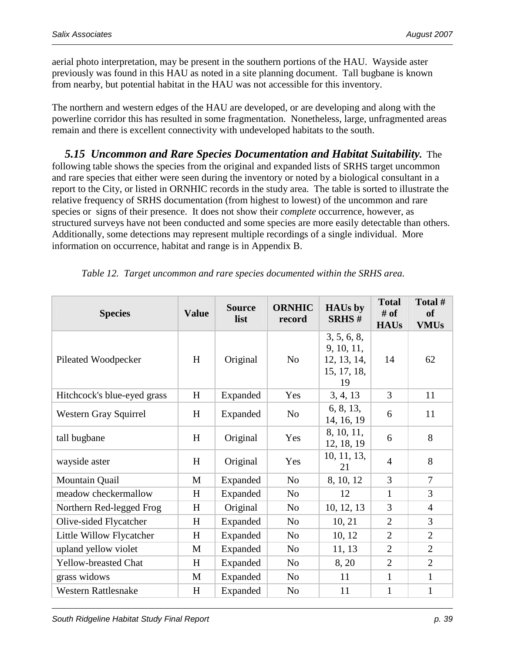aerial photo interpretation, may be present in the southern portions of the HAU. Wayside aster previously was found in this HAU as noted in a site planning document. Tall bugbane is known from nearby, but potential habitat in the HAU was not accessible for this inventory.

The northern and western edges of the HAU are developed, or are developing and along with the powerline corridor this has resulted in some fragmentation. Nonetheless, large, unfragmented areas remain and there is excellent connectivity with undeveloped habitats to the south.

 *5.15 Uncommon and Rare Species Documentation and Habitat Suitability.* The following table shows the species from the original and expanded lists of SRHS target uncommon and rare species that either were seen during the inventory or noted by a biological consultant in a report to the City, or listed in ORNHIC records in the study area. The table is sorted to illustrate the relative frequency of SRHS documentation (from highest to lowest) of the uncommon and rare species or signs of their presence. It does not show their *complete* occurrence, however, as structured surveys have not been conducted and some species are more easily detectable than others. Additionally, some detections may represent multiple recordings of a single individual. More information on occurrence, habitat and range is in Appendix B.

| <b>Species</b>              | <b>Value</b> | <b>Source</b><br>list | <b>ORNHIC</b><br>record | <b>HAUs by</b><br><b>SRHS#</b>                                | <b>Total</b><br>$#$ of<br><b>HAUs</b> | Total #<br><b>of</b><br><b>VMUs</b> |
|-----------------------------|--------------|-----------------------|-------------------------|---------------------------------------------------------------|---------------------------------------|-------------------------------------|
| Pileated Woodpecker         | H            | Original              | N <sub>0</sub>          | 3, 5, 6, 8,<br>9, 10, 11,<br>12, 13, 14,<br>15, 17, 18,<br>19 | 14                                    | 62                                  |
| Hitchcock's blue-eyed grass | H            | Expanded              | Yes                     | 3, 4, 13                                                      | $\overline{3}$                        | 11                                  |
| Western Gray Squirrel       | H            | Expanded              | N <sub>o</sub>          | 6, 8, 13,<br>14, 16, 19                                       | 6                                     | 11                                  |
| tall bugbane                | H            | Original              | Yes                     | 8, 10, 11,<br>12, 18, 19                                      | 6                                     | 8                                   |
| wayside aster               | H            | Original              | Yes                     | 10, 11, 13,<br>21                                             | $\overline{4}$                        | 8                                   |
| Mountain Quail              | M            | Expanded              | N <sub>o</sub>          | 8, 10, 12                                                     | 3                                     | 7                                   |
| meadow checkermallow        | H            | Expanded              | N <sub>o</sub>          | 12                                                            | 1                                     | 3                                   |
| Northern Red-legged Frog    | H            | Original              | N <sub>o</sub>          | 10, 12, 13                                                    | 3                                     | $\overline{4}$                      |
| Olive-sided Flycatcher      | H            | Expanded              | N <sub>0</sub>          | 10, 21                                                        | $\overline{2}$                        | 3                                   |
| Little Willow Flycatcher    | H            | Expanded              | N <sub>o</sub>          | 10, 12                                                        | $\overline{2}$                        | $\overline{2}$                      |
| upland yellow violet        | M            | Expanded              | N <sub>o</sub>          | 11, 13                                                        | $\overline{2}$                        | $\overline{2}$                      |
| <b>Yellow-breasted Chat</b> | H            | Expanded              | N <sub>o</sub>          | 8, 20                                                         | $\overline{2}$                        | $\overline{2}$                      |
| grass widows                | M            | Expanded              | N <sub>0</sub>          | 11                                                            | $\mathbf{1}$                          | $\mathbf{1}$                        |
| <b>Western Rattlesnake</b>  | H            | Expanded              | N <sub>o</sub>          | 11                                                            | $\mathbf{1}$                          | $\mathbf{1}$                        |

*Table 12. Target uncommon and rare species documented within the SRHS area.*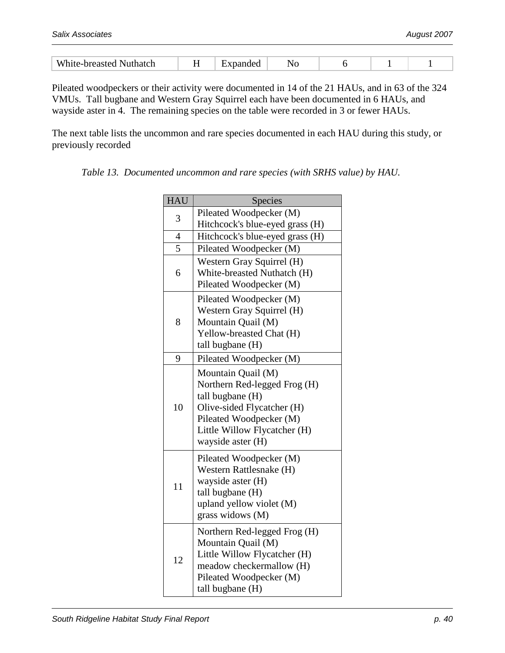| N<br>A.<br>wu | $ -$ |  |  |  |
|---------------|------|--|--|--|

Pileated woodpeckers or their activity were documented in 14 of the 21 HAUs, and in 63 of the 324 VMUs. Tall bugbane and Western Gray Squirrel each have been documented in 6 HAUs, and wayside aster in 4. The remaining species on the table were recorded in 3 or fewer HAUs.

The next table lists the uncommon and rare species documented in each HAU during this study, or previously recorded

| <b>HAU</b>     | Species                                                                                                                                                                              |
|----------------|--------------------------------------------------------------------------------------------------------------------------------------------------------------------------------------|
|                | Pileated Woodpecker (M)                                                                                                                                                              |
| 3              | Hitchcock's blue-eyed grass (H)                                                                                                                                                      |
| $\overline{4}$ | Hitchcock's blue-eyed grass (H)                                                                                                                                                      |
| 5              | Pileated Woodpecker (M)                                                                                                                                                              |
| 6              | Western Gray Squirrel (H)<br>White-breasted Nuthatch (H)<br>Pileated Woodpecker (M)                                                                                                  |
| 8              | Pileated Woodpecker (M)<br>Western Gray Squirrel (H)<br>Mountain Quail (M)<br>Yellow-breasted Chat (H)<br>tall bugbane (H)                                                           |
| 9              | Pileated Woodpecker (M)                                                                                                                                                              |
| 10             | Mountain Quail (M)<br>Northern Red-legged Frog (H)<br>tall bugbane (H)<br>Olive-sided Flycatcher (H)<br>Pileated Woodpecker (M)<br>Little Willow Flycatcher (H)<br>wayside aster (H) |
| 11             | Pileated Woodpecker (M)<br>Western Rattlesnake (H)<br>wayside aster (H)<br>tall bugbane (H)<br>upland yellow violet (M)<br>grass widows (M)                                          |
| 12             | Northern Red-legged Frog (H)<br>Mountain Quail (M)<br>Little Willow Flycatcher (H)<br>meadow checkermallow (H)<br>Pileated Woodpecker (M)<br>tall bugbane (H)                        |

*Table 13. Documented uncommon and rare species (with SRHS value) by HAU.*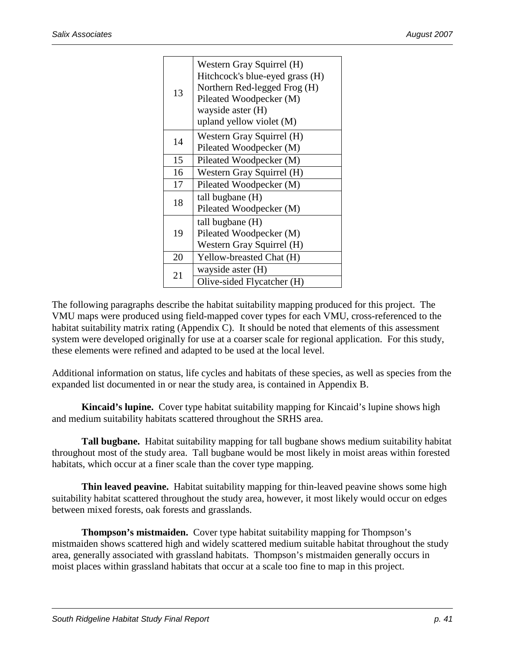| 13 | Western Gray Squirrel (H)<br>Hitchcock's blue-eyed grass (H)<br>Northern Red-legged Frog (H)<br>Pileated Woodpecker (M)<br>wayside aster (H)<br>upland yellow violet (M) |
|----|--------------------------------------------------------------------------------------------------------------------------------------------------------------------------|
| 14 | Western Gray Squirrel (H)<br>Pileated Woodpecker (M)                                                                                                                     |
| 15 | Pileated Woodpecker (M)                                                                                                                                                  |
| 16 | Western Gray Squirrel (H)                                                                                                                                                |
| 17 | Pileated Woodpecker (M)                                                                                                                                                  |
| 18 | tall bugbane (H)<br>Pileated Woodpecker (M)                                                                                                                              |
| 19 | tall bugbane (H)<br>Pileated Woodpecker (M)<br>Western Gray Squirrel (H)                                                                                                 |
| 20 | Yellow-breasted Chat (H)                                                                                                                                                 |
| 21 | wayside aster (H)                                                                                                                                                        |
|    | Olive-sided Flycatcher (H)                                                                                                                                               |

The following paragraphs describe the habitat suitability mapping produced for this project. The VMU maps were produced using field-mapped cover types for each VMU, cross-referenced to the habitat suitability matrix rating (Appendix C). It should be noted that elements of this assessment system were developed originally for use at a coarser scale for regional application. For this study, these elements were refined and adapted to be used at the local level.

Additional information on status, life cycles and habitats of these species, as well as species from the expanded list documented in or near the study area, is contained in Appendix B.

 **Kincaid's lupine.** Cover type habitat suitability mapping for Kincaid's lupine shows high and medium suitability habitats scattered throughout the SRHS area.

 **Tall bugbane.** Habitat suitability mapping for tall bugbane shows medium suitability habitat throughout most of the study area. Tall bugbane would be most likely in moist areas within forested habitats, which occur at a finer scale than the cover type mapping.

**Thin leaved peavine.** Habitat suitability mapping for thin-leaved peavine shows some high suitability habitat scattered throughout the study area, however, it most likely would occur on edges between mixed forests, oak forests and grasslands.

 **Thompson's mistmaiden.** Cover type habitat suitability mapping for Thompson's mistmaiden shows scattered high and widely scattered medium suitable habitat throughout the study area, generally associated with grassland habitats. Thompson's mistmaiden generally occurs in moist places within grassland habitats that occur at a scale too fine to map in this project.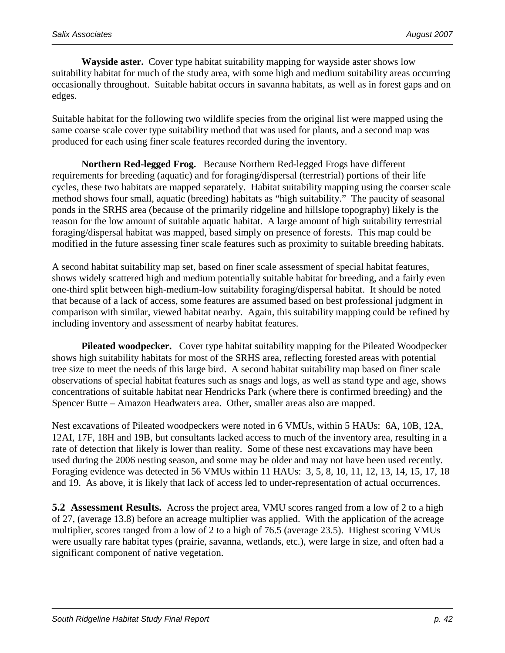**Wayside aster.** Cover type habitat suitability mapping for wayside aster shows low suitability habitat for much of the study area, with some high and medium suitability areas occurring occasionally throughout. Suitable habitat occurs in savanna habitats, as well as in forest gaps and on edges.

Suitable habitat for the following two wildlife species from the original list were mapped using the same coarse scale cover type suitability method that was used for plants, and a second map was produced for each using finer scale features recorded during the inventory.

 **Northern Red-legged Frog.** Because Northern Red-legged Frogs have different requirements for breeding (aquatic) and for foraging/dispersal (terrestrial) portions of their life cycles, these two habitats are mapped separately. Habitat suitability mapping using the coarser scale method shows four small, aquatic (breeding) habitats as "high suitability." The paucity of seasonal ponds in the SRHS area (because of the primarily ridgeline and hillslope topography) likely is the reason for the low amount of suitable aquatic habitat. A large amount of high suitability terrestrial foraging/dispersal habitat was mapped, based simply on presence of forests. This map could be modified in the future assessing finer scale features such as proximity to suitable breeding habitats.

A second habitat suitability map set, based on finer scale assessment of special habitat features, shows widely scattered high and medium potentially suitable habitat for breeding, and a fairly even one-third split between high-medium-low suitability foraging/dispersal habitat. It should be noted that because of a lack of access, some features are assumed based on best professional judgment in comparison with similar, viewed habitat nearby. Again, this suitability mapping could be refined by including inventory and assessment of nearby habitat features.

 **Pileated woodpecker.** Cover type habitat suitability mapping for the Pileated Woodpecker shows high suitability habitats for most of the SRHS area, reflecting forested areas with potential tree size to meet the needs of this large bird. A second habitat suitability map based on finer scale observations of special habitat features such as snags and logs, as well as stand type and age, shows concentrations of suitable habitat near Hendricks Park (where there is confirmed breeding) and the Spencer Butte – Amazon Headwaters area. Other, smaller areas also are mapped.

Nest excavations of Pileated woodpeckers were noted in 6 VMUs, within 5 HAUs: 6A, 10B, 12A, 12AI, 17F, 18H and 19B, but consultants lacked access to much of the inventory area, resulting in a rate of detection that likely is lower than reality. Some of these nest excavations may have been used during the 2006 nesting season, and some may be older and may not have been used recently. Foraging evidence was detected in 56 VMUs within 11 HAUs: 3, 5, 8, 10, 11, 12, 13, 14, 15, 17, 18 and 19. As above, it is likely that lack of access led to under-representation of actual occurrences.

**5.2 Assessment Results.** Across the project area, VMU scores ranged from a low of 2 to a high of 27, (average 13.8) before an acreage multiplier was applied. With the application of the acreage multiplier, scores ranged from a low of 2 to a high of 76.5 (average 23.5). Highest scoring VMUs were usually rare habitat types (prairie, savanna, wetlands, etc.), were large in size, and often had a significant component of native vegetation.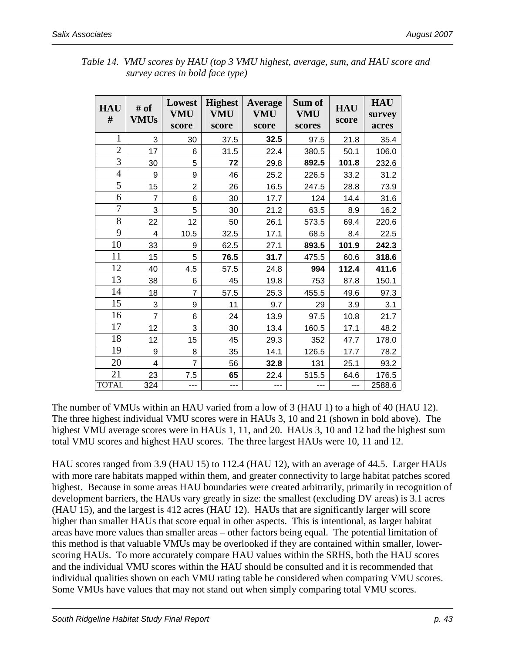| <b>HAU</b><br># | # of<br><b>VMUs</b> | Lowest<br><b>VMU</b><br>score | <b>Highest</b><br><b>VMU</b><br>score | <b>Average</b><br><b>VMU</b><br>score | Sum of<br><b>VMU</b><br>scores | <b>HAU</b><br>score | <b>HAU</b><br>survey<br>acres |
|-----------------|---------------------|-------------------------------|---------------------------------------|---------------------------------------|--------------------------------|---------------------|-------------------------------|
| 1               | 3                   | 30                            | 37.5                                  | 32.5                                  | 97.5                           | 21.8                | 35.4                          |
| $\overline{2}$  | 17                  | 6                             | 31.5                                  | 22.4                                  | 380.5                          | 50.1                | 106.0                         |
| 3               | 30                  | 5                             | 72                                    | 29.8                                  | 892.5                          | 101.8               | 232.6                         |
| 4               | 9                   | 9                             | 46                                    | 25.2                                  | 226.5                          | 33.2                | 31.2                          |
| 5               | 15                  | $\overline{2}$                | 26                                    | 16.5                                  | 247.5                          | 28.8                | 73.9                          |
| 6               | 7                   | 6                             | 30                                    | 17.7                                  | 124                            | 14.4                | 31.6                          |
| 7               | 3                   | 5                             | 30                                    | 21.2                                  | 63.5                           | 8.9                 | 16.2                          |
| 8               | 22                  | 12                            | 50                                    | 26.1                                  | 573.5                          | 69.4                | 220.6                         |
| 9               | 4                   | 10.5                          | 32.5                                  | 17.1                                  | 68.5                           | 8.4                 | 22.5                          |
| 10              | 33                  | 9                             | 62.5                                  | 27.1                                  | 893.5                          | 101.9               | 242.3                         |
| 11              | 15                  | 5                             | 76.5                                  | 31.7                                  | 475.5                          | 60.6                | 318.6                         |
| 12              | 40                  | 4.5                           | 57.5                                  | 24.8                                  | 994                            | 112.4               | 411.6                         |
| 13              | 38                  | 6                             | 45                                    | 19.8                                  | 753                            | 87.8                | 150.1                         |
| 14              | 18                  | 7                             | 57.5                                  | 25.3                                  | 455.5                          | 49.6                | 97.3                          |
| 15              | 3                   | 9                             | 11                                    | 9.7                                   | 29                             | 3.9                 | 3.1                           |
| 16              | $\overline{7}$      | 6                             | 24                                    | 13.9                                  | 97.5                           | 10.8                | 21.7                          |
| 17              | 12                  | 3                             | 30                                    | 13.4                                  | 160.5                          | 17.1                | 48.2                          |
| 18              | 12                  | 15                            | 45                                    | 29.3                                  | 352                            | 47.7                | 178.0                         |
| 19              | 9                   | 8                             | 35                                    | 14.1                                  | 126.5                          | 17.7                | 78.2                          |
| 20              | 4                   | 7                             | 56                                    | 32.8                                  | 131                            | 25.1                | 93.2                          |
| 21              | 23                  | 7.5                           | 65                                    | 22.4                                  | 515.5                          | 64.6                | 176.5                         |
| <b>TOTAL</b>    | 324                 |                               | ---                                   |                                       |                                |                     | 2588.6                        |

*Table 14. VMU scores by HAU (top 3 VMU highest, average, sum, and HAU score and survey acres in bold face type)* 

The number of VMUs within an HAU varied from a low of 3 (HAU 1) to a high of 40 (HAU 12). The three highest individual VMU scores were in HAUs 3, 10 and 21 (shown in bold above). The highest VMU average scores were in HAUs 1, 11, and 20. HAUs 3, 10 and 12 had the highest sum total VMU scores and highest HAU scores. The three largest HAUs were 10, 11 and 12.

HAU scores ranged from 3.9 (HAU 15) to 112.4 (HAU 12), with an average of 44.5. Larger HAUs with more rare habitats mapped within them, and greater connectivity to large habitat patches scored highest. Because in some areas HAU boundaries were created arbitrarily, primarily in recognition of development barriers, the HAUs vary greatly in size: the smallest (excluding DV areas) is 3.1 acres (HAU 15), and the largest is 412 acres (HAU 12). HAUs that are significantly larger will score higher than smaller HAUs that score equal in other aspects. This is intentional, as larger habitat areas have more values than smaller areas – other factors being equal. The potential limitation of this method is that valuable VMUs may be overlooked if they are contained within smaller, lowerscoring HAUs. To more accurately compare HAU values within the SRHS, both the HAU scores and the individual VMU scores within the HAU should be consulted and it is recommended that individual qualities shown on each VMU rating table be considered when comparing VMU scores. Some VMUs have values that may not stand out when simply comparing total VMU scores.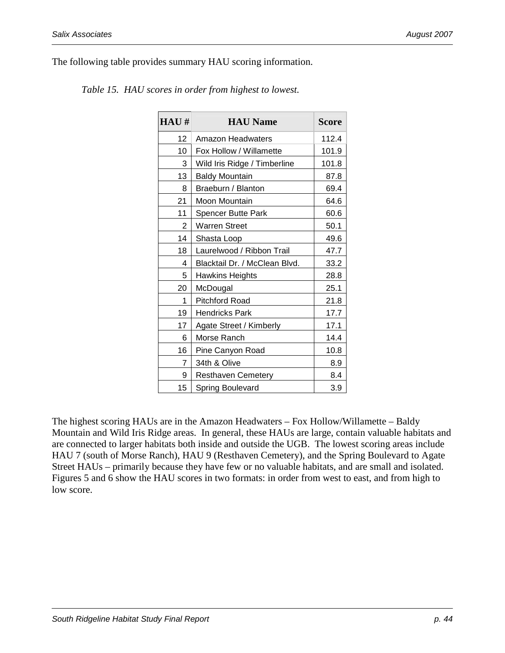The following table provides summary HAU scoring information.

| HAU# | <b>HAU Name</b>               | <b>Score</b> |
|------|-------------------------------|--------------|
| 12   | <b>Amazon Headwaters</b>      | 112.4        |
| 10   | Fox Hollow / Willamette       | 101.9        |
| 3    | Wild Iris Ridge / Timberline  | 101.8        |
| 13   | <b>Baldy Mountain</b>         | 87.8         |
| 8    | Braeburn / Blanton            | 69.4         |
| 21   | Moon Mountain                 | 64.6         |
| 11   | <b>Spencer Butte Park</b>     | 60.6         |
| 2    | Warren Street                 | 50.1         |
| 14   | Shasta Loop                   | 49.6         |
| 18   | Laurelwood / Ribbon Trail     | 47.7         |
| 4    | Blacktail Dr. / McClean Blvd. | 33.2         |
| 5    | <b>Hawkins Heights</b>        | 28.8         |
| 20   | McDougal                      | 25.1         |
| 1    | <b>Pitchford Road</b>         | 21.8         |
| 19   | <b>Hendricks Park</b>         | 17.7         |
| 17   | Agate Street / Kimberly       | 17.1         |
| 6    | Morse Ranch                   | 14.4         |
| 16   | Pine Canyon Road              | 10.8         |
| 7    | 34th & Olive                  | 8.9          |
| 9    | <b>Resthaven Cemetery</b>     | 8.4          |
| 15   | Spring Boulevard              | 3.9          |

*Table 15. HAU scores in order from highest to lowest.* 

The highest scoring HAUs are in the Amazon Headwaters – Fox Hollow/Willamette – Baldy Mountain and Wild Iris Ridge areas. In general, these HAUs are large, contain valuable habitats and are connected to larger habitats both inside and outside the UGB. The lowest scoring areas include HAU 7 (south of Morse Ranch), HAU 9 (Resthaven Cemetery), and the Spring Boulevard to Agate Street HAUs – primarily because they have few or no valuable habitats, and are small and isolated. Figures 5 and 6 show the HAU scores in two formats: in order from west to east, and from high to low score.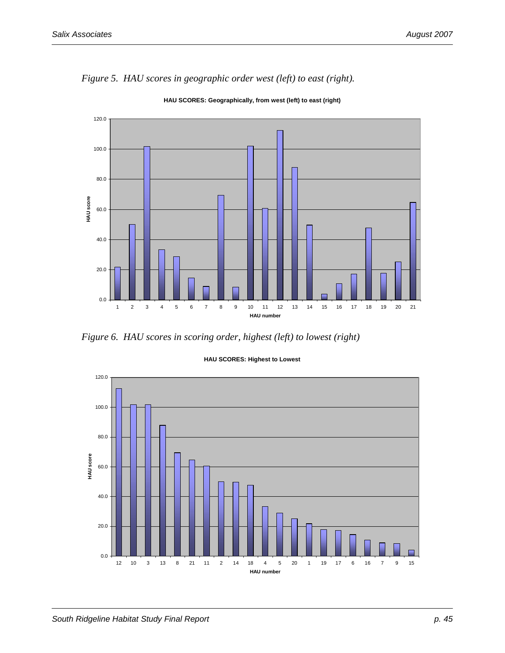

*Figure 5. HAU scores in geographic order west (left) to east (right).* 

**HAU SCORES: Geographically, from west (left) to east (right)**

*Figure 6. HAU scores in scoring order, highest (left) to lowest (right)* 



#### **HAU SCORES: Highest to Lowest**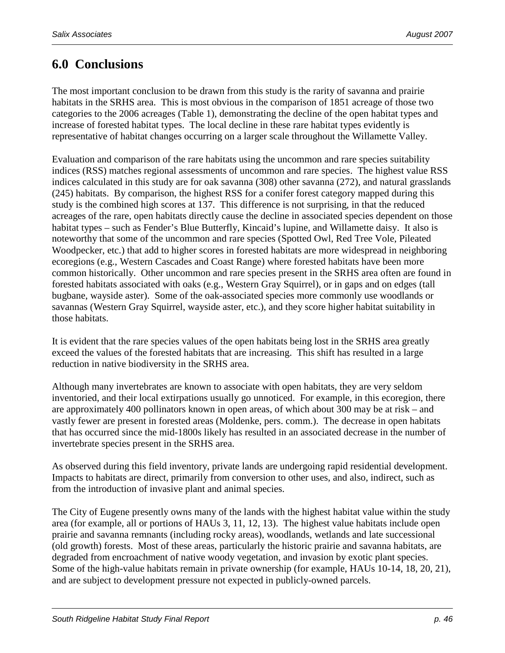# **6.0 Conclusions**

The most important conclusion to be drawn from this study is the rarity of savanna and prairie habitats in the SRHS area. This is most obvious in the comparison of 1851 acreage of those two categories to the 2006 acreages (Table 1), demonstrating the decline of the open habitat types and increase of forested habitat types. The local decline in these rare habitat types evidently is representative of habitat changes occurring on a larger scale throughout the Willamette Valley.

Evaluation and comparison of the rare habitats using the uncommon and rare species suitability indices (RSS) matches regional assessments of uncommon and rare species. The highest value RSS indices calculated in this study are for oak savanna (308) other savanna (272), and natural grasslands (245) habitats. By comparison, the highest RSS for a conifer forest category mapped during this study is the combined high scores at 137. This difference is not surprising, in that the reduced acreages of the rare, open habitats directly cause the decline in associated species dependent on those habitat types – such as Fender's Blue Butterfly, Kincaid's lupine, and Willamette daisy. It also is noteworthy that some of the uncommon and rare species (Spotted Owl, Red Tree Vole, Pileated Woodpecker, etc.) that add to higher scores in forested habitats are more widespread in neighboring ecoregions (e.g., Western Cascades and Coast Range) where forested habitats have been more common historically. Other uncommon and rare species present in the SRHS area often are found in forested habitats associated with oaks (e.g., Western Gray Squirrel), or in gaps and on edges (tall bugbane, wayside aster). Some of the oak-associated species more commonly use woodlands or savannas (Western Gray Squirrel, wayside aster, etc.), and they score higher habitat suitability in those habitats.

It is evident that the rare species values of the open habitats being lost in the SRHS area greatly exceed the values of the forested habitats that are increasing. This shift has resulted in a large reduction in native biodiversity in the SRHS area.

Although many invertebrates are known to associate with open habitats, they are very seldom inventoried, and their local extirpations usually go unnoticed. For example, in this ecoregion, there are approximately 400 pollinators known in open areas, of which about 300 may be at risk – and vastly fewer are present in forested areas (Moldenke, pers. comm.). The decrease in open habitats that has occurred since the mid-1800s likely has resulted in an associated decrease in the number of invertebrate species present in the SRHS area.

As observed during this field inventory, private lands are undergoing rapid residential development. Impacts to habitats are direct, primarily from conversion to other uses, and also, indirect, such as from the introduction of invasive plant and animal species.

The City of Eugene presently owns many of the lands with the highest habitat value within the study area (for example, all or portions of HAUs 3, 11, 12, 13). The highest value habitats include open prairie and savanna remnants (including rocky areas), woodlands, wetlands and late successional (old growth) forests. Most of these areas, particularly the historic prairie and savanna habitats, are degraded from encroachment of native woody vegetation, and invasion by exotic plant species. Some of the high-value habitats remain in private ownership (for example, HAUs 10-14, 18, 20, 21), and are subject to development pressure not expected in publicly-owned parcels.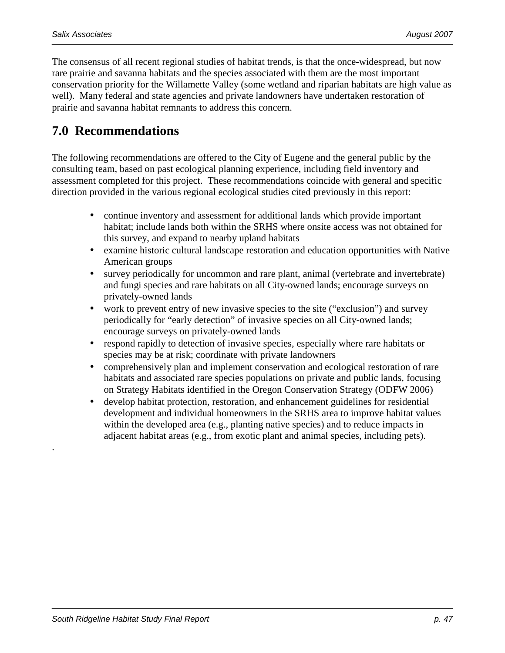.

The consensus of all recent regional studies of habitat trends, is that the once-widespread, but now rare prairie and savanna habitats and the species associated with them are the most important conservation priority for the Willamette Valley (some wetland and riparian habitats are high value as well). Many federal and state agencies and private landowners have undertaken restoration of prairie and savanna habitat remnants to address this concern.

# **7.0 Recommendations**

The following recommendations are offered to the City of Eugene and the general public by the consulting team, based on past ecological planning experience, including field inventory and assessment completed for this project. These recommendations coincide with general and specific direction provided in the various regional ecological studies cited previously in this report:

- continue inventory and assessment for additional lands which provide important habitat; include lands both within the SRHS where onsite access was not obtained for this survey, and expand to nearby upland habitats
- examine historic cultural landscape restoration and education opportunities with Native American groups
- survey periodically for uncommon and rare plant, animal (vertebrate and invertebrate) and fungi species and rare habitats on all City-owned lands; encourage surveys on privately-owned lands
- work to prevent entry of new invasive species to the site ("exclusion") and survey periodically for "early detection" of invasive species on all City-owned lands; encourage surveys on privately-owned lands
- respond rapidly to detection of invasive species, especially where rare habitats or species may be at risk; coordinate with private landowners
- comprehensively plan and implement conservation and ecological restoration of rare habitats and associated rare species populations on private and public lands, focusing on Strategy Habitats identified in the Oregon Conservation Strategy (ODFW 2006)
- develop habitat protection, restoration, and enhancement guidelines for residential development and individual homeowners in the SRHS area to improve habitat values within the developed area (e.g., planting native species) and to reduce impacts in adjacent habitat areas (e.g., from exotic plant and animal species, including pets).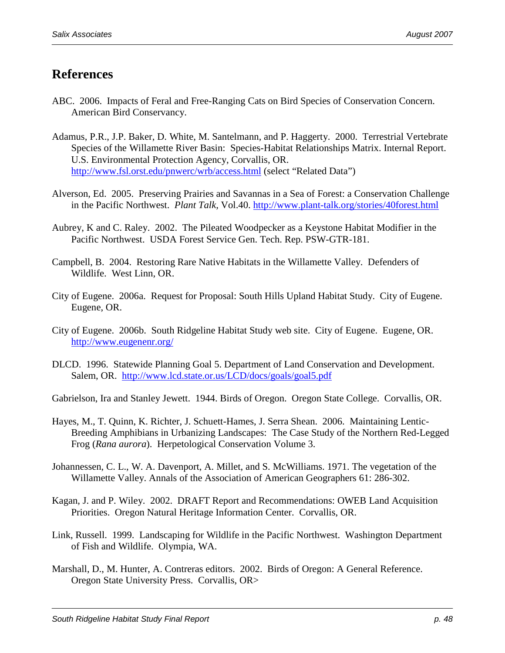# **References**

- ABC. 2006. Impacts of Feral and Free-Ranging Cats on Bird Species of Conservation Concern. American Bird Conservancy.
- Adamus, P.R., J.P. Baker, D. White, M. Santelmann, and P. Haggerty. 2000. Terrestrial Vertebrate Species of the Willamette River Basin: Species-Habitat Relationships Matrix. Internal Report. U.S. Environmental Protection Agency, Corvallis, OR. http://www.fsl.orst.edu/pnwerc/wrb/access.html (select "Related Data")
- Alverson, Ed. 2005. Preserving Prairies and Savannas in a Sea of Forest: a Conservation Challenge in the Pacific Northwest. *Plant Talk,* Vol.40. http://www.plant-talk.org/stories/40forest.html
- Aubrey, K and C. Raley. 2002. The Pileated Woodpecker as a Keystone Habitat Modifier in the Pacific Northwest. USDA Forest Service Gen. Tech. Rep. PSW-GTR-181.
- Campbell, B. 2004. Restoring Rare Native Habitats in the Willamette Valley. Defenders of Wildlife. West Linn, OR.
- City of Eugene. 2006a. Request for Proposal: South Hills Upland Habitat Study. City of Eugene. Eugene, OR.
- City of Eugene. 2006b. South Ridgeline Habitat Study web site. City of Eugene. Eugene, OR. http://www.eugenenr.org/
- DLCD. 1996. Statewide Planning Goal 5. Department of Land Conservation and Development. Salem, OR. http://www.lcd.state.or.us/LCD/docs/goals/goal5.pdf

Gabrielson, Ira and Stanley Jewett. 1944. Birds of Oregon. Oregon State College. Corvallis, OR.

- Hayes, M., T. Quinn, K. Richter, J. Schuett-Hames, J. Serra Shean. 2006. Maintaining Lentic-Breeding Amphibians in Urbanizing Landscapes: The Case Study of the Northern Red-Legged Frog (*Rana aurora*). Herpetological Conservation Volume 3.
- Johannessen, C. L., W. A. Davenport, A. Millet, and S. McWilliams. 1971. The vegetation of the Willamette Valley. Annals of the Association of American Geographers 61: 286-302.
- Kagan, J. and P. Wiley. 2002. DRAFT Report and Recommendations: OWEB Land Acquisition Priorities. Oregon Natural Heritage Information Center. Corvallis, OR.
- Link, Russell. 1999. Landscaping for Wildlife in the Pacific Northwest. Washington Department of Fish and Wildlife. Olympia, WA.
- Marshall, D., M. Hunter, A. Contreras editors. 2002. Birds of Oregon: A General Reference. Oregon State University Press. Corvallis, OR>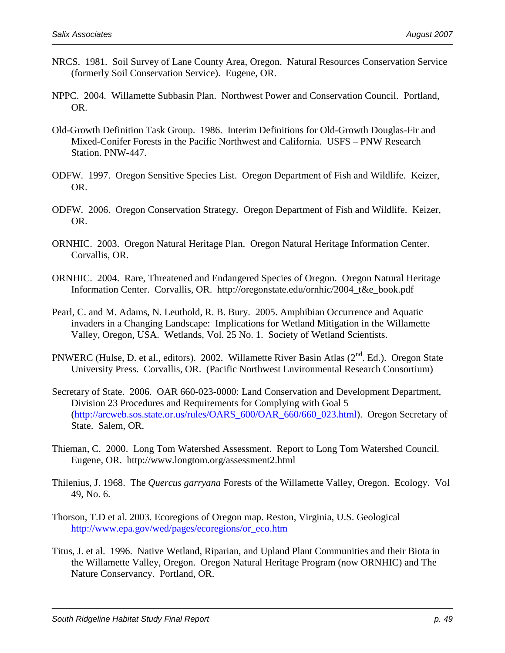- NRCS. 1981. Soil Survey of Lane County Area, Oregon. Natural Resources Conservation Service (formerly Soil Conservation Service). Eugene, OR.
- NPPC. 2004. Willamette Subbasin Plan. Northwest Power and Conservation Council. Portland, OR.
- Old-Growth Definition Task Group. 1986. Interim Definitions for Old-Growth Douglas-Fir and Mixed-Conifer Forests in the Pacific Northwest and California. USFS – PNW Research Station. PNW-447.
- ODFW. 1997. Oregon Sensitive Species List. Oregon Department of Fish and Wildlife. Keizer, OR.
- ODFW. 2006. Oregon Conservation Strategy. Oregon Department of Fish and Wildlife. Keizer, OR.
- ORNHIC. 2003. Oregon Natural Heritage Plan. Oregon Natural Heritage Information Center. Corvallis, OR.
- ORNHIC. 2004. Rare, Threatened and Endangered Species of Oregon. Oregon Natural Heritage Information Center. Corvallis, OR. http://oregonstate.edu/ornhic/2004\_t&e\_book.pdf
- Pearl, C. and M. Adams, N. Leuthold, R. B. Bury. 2005. Amphibian Occurrence and Aquatic invaders in a Changing Landscape: Implications for Wetland Mitigation in the Willamette Valley, Oregon, USA. Wetlands, Vol. 25 No. 1. Society of Wetland Scientists.
- PNWERC (Hulse, D. et al., editors). 2002. Willamette River Basin Atlas (2<sup>nd</sup>. Ed.). Oregon State University Press. Corvallis, OR. (Pacific Northwest Environmental Research Consortium)
- Secretary of State. 2006. OAR 660-023-0000: Land Conservation and Development Department, Division 23 Procedures and Requirements for Complying with Goal 5 (http://arcweb.sos.state.or.us/rules/OARS\_600/OAR\_660/660\_023.html). Oregon Secretary of State. Salem, OR.
- Thieman, C. 2000. Long Tom Watershed Assessment. Report to Long Tom Watershed Council. Eugene, OR. http://www.longtom.org/assessment2.html
- Thilenius, J. 1968. The *Quercus garryana* Forests of the Willamette Valley, Oregon. Ecology. Vol 49, No. 6.
- Thorson, T.D et al. 2003. Ecoregions of Oregon map. Reston, Virginia, U.S. Geological http://www.epa.gov/wed/pages/ecoregions/or\_eco.htm
- Titus, J. et al. 1996. Native Wetland, Riparian, and Upland Plant Communities and their Biota in the Willamette Valley, Oregon. Oregon Natural Heritage Program (now ORNHIC) and The Nature Conservancy. Portland, OR.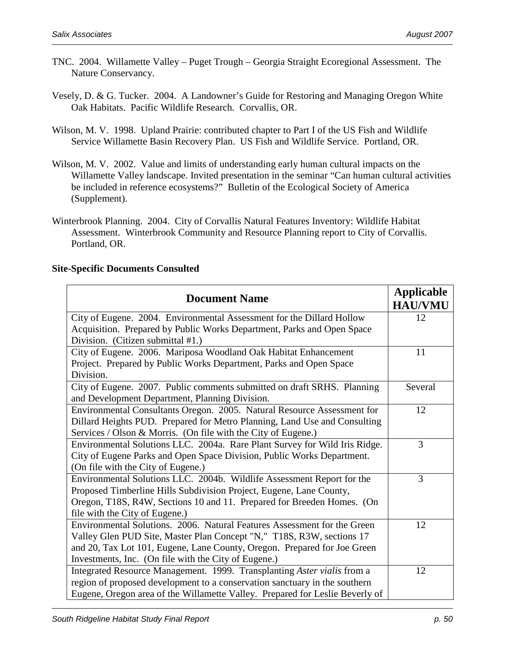- TNC. 2004. Willamette Valley Puget Trough Georgia Straight Ecoregional Assessment. The Nature Conservancy.
- Vesely, D. & G. Tucker. 2004. A Landowner's Guide for Restoring and Managing Oregon White Oak Habitats. Pacific Wildlife Research. Corvallis, OR.
- Wilson, M. V. 1998. Upland Prairie: contributed chapter to Part I of the US Fish and Wildlife Service Willamette Basin Recovery Plan. US Fish and Wildlife Service. Portland, OR.
- Wilson, M. V. 2002. Value and limits of understanding early human cultural impacts on the Willamette Valley landscape. Invited presentation in the seminar "Can human cultural activities be included in reference ecosystems?" Bulletin of the Ecological Society of America (Supplement).
- Winterbrook Planning. 2004. City of Corvallis Natural Features Inventory: Wildlife Habitat Assessment. Winterbrook Community and Resource Planning report to City of Corvallis. Portland, OR.

#### **Site-Specific Documents Consulted**

| <b>Document Name</b>                                                         | <b>Applicable</b><br><b>HAU/VMU</b> |
|------------------------------------------------------------------------------|-------------------------------------|
| City of Eugene. 2004. Environmental Assessment for the Dillard Hollow        | 12                                  |
| Acquisition. Prepared by Public Works Department, Parks and Open Space       |                                     |
| Division. (Citizen submittal #1.)                                            |                                     |
| City of Eugene. 2006. Mariposa Woodland Oak Habitat Enhancement              | 11                                  |
| Project. Prepared by Public Works Department, Parks and Open Space           |                                     |
| Division.                                                                    |                                     |
| City of Eugene. 2007. Public comments submitted on draft SRHS. Planning      | Several                             |
| and Development Department, Planning Division.                               |                                     |
| Environmental Consultants Oregon. 2005. Natural Resource Assessment for      | 12                                  |
| Dillard Heights PUD. Prepared for Metro Planning, Land Use and Consulting    |                                     |
| Services / Olson & Morris. (On file with the City of Eugene.)                |                                     |
| Environmental Solutions LLC. 2004a. Rare Plant Survey for Wild Iris Ridge.   | 3                                   |
| City of Eugene Parks and Open Space Division, Public Works Department.       |                                     |
| (On file with the City of Eugene.)                                           |                                     |
| Environmental Solutions LLC. 2004b. Wildlife Assessment Report for the       | 3                                   |
| Proposed Timberline Hills Subdivision Project, Eugene, Lane County,          |                                     |
| Oregon, T18S, R4W, Sections 10 and 11. Prepared for Breeden Homes. (On       |                                     |
| file with the City of Eugene.)                                               |                                     |
| Environmental Solutions. 2006. Natural Features Assessment for the Green     | 12                                  |
| Valley Glen PUD Site, Master Plan Concept "N," T18S, R3W, sections 17        |                                     |
| and 20, Tax Lot 101, Eugene, Lane County, Oregon. Prepared for Joe Green     |                                     |
| Investments, Inc. (On file with the City of Eugene.)                         |                                     |
| Integrated Resource Management. 1999. Transplanting Aster vialis from a      | 12                                  |
| region of proposed development to a conservation sanctuary in the southern   |                                     |
| Eugene, Oregon area of the Willamette Valley. Prepared for Leslie Beverly of |                                     |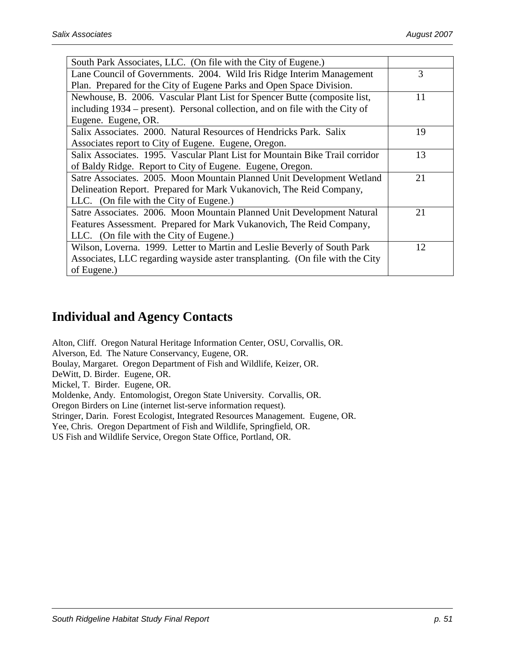| South Park Associates, LLC. (On file with the City of Eugene.)                |    |
|-------------------------------------------------------------------------------|----|
| Lane Council of Governments. 2004. Wild Iris Ridge Interim Management         | 3  |
| Plan. Prepared for the City of Eugene Parks and Open Space Division.          |    |
| Newhouse, B. 2006. Vascular Plant List for Spencer Butte (composite list,     | 11 |
| including 1934 – present). Personal collection, and on file with the City of  |    |
| Eugene. Eugene, OR.                                                           |    |
| Salix Associates. 2000. Natural Resources of Hendricks Park. Salix            | 19 |
| Associates report to City of Eugene. Eugene, Oregon.                          |    |
| Salix Associates. 1995. Vascular Plant List for Mountain Bike Trail corridor  | 13 |
| of Baldy Ridge. Report to City of Eugene. Eugene, Oregon.                     |    |
| Satre Associates. 2005. Moon Mountain Planned Unit Development Wetland        | 21 |
| Delineation Report. Prepared for Mark Vukanovich, The Reid Company,           |    |
| LLC. (On file with the City of Eugene.)                                       |    |
| Satre Associates. 2006. Moon Mountain Planned Unit Development Natural        | 21 |
| Features Assessment. Prepared for Mark Vukanovich, The Reid Company,          |    |
| LLC. (On file with the City of Eugene.)                                       |    |
| Wilson, Loverna. 1999. Letter to Martin and Leslie Beverly of South Park      | 12 |
| Associates, LLC regarding wayside aster transplanting. (On file with the City |    |
| of Eugene.)                                                                   |    |

# **Individual and Agency Contacts**

Alton, Cliff. Oregon Natural Heritage Information Center, OSU, Corvallis, OR. Alverson, Ed. The Nature Conservancy, Eugene, OR. Boulay, Margaret. Oregon Department of Fish and Wildlife, Keizer, OR. DeWitt, D. Birder. Eugene, OR. Mickel, T. Birder. Eugene, OR. Moldenke, Andy. Entomologist, Oregon State University. Corvallis, OR. Oregon Birders on Line (internet list-serve information request). Stringer, Darin. Forest Ecologist, Integrated Resources Management. Eugene, OR. Yee, Chris. Oregon Department of Fish and Wildlife, Springfield, OR. US Fish and Wildlife Service, Oregon State Office, Portland, OR.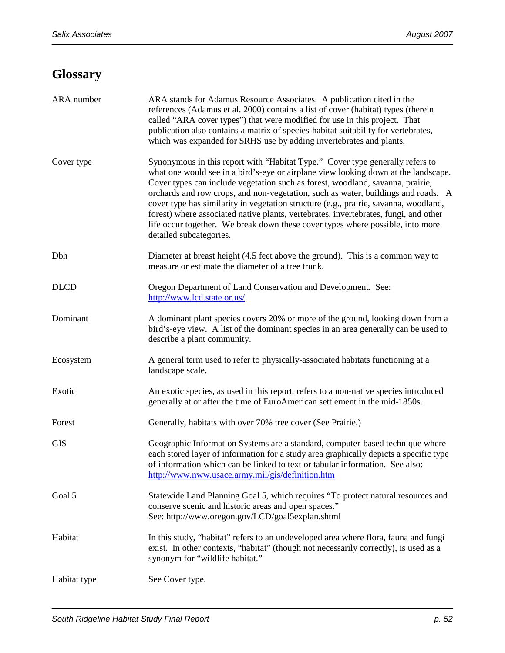# **Glossary**

| ARA number   | ARA stands for Adamus Resource Associates. A publication cited in the<br>references (Adamus et al. 2000) contains a list of cover (habitat) types (therein<br>called "ARA cover types") that were modified for use in this project. That<br>publication also contains a matrix of species-habitat suitability for vertebrates,<br>which was expanded for SRHS use by adding invertebrates and plants.                                                                                                                                                                                                                                   |
|--------------|-----------------------------------------------------------------------------------------------------------------------------------------------------------------------------------------------------------------------------------------------------------------------------------------------------------------------------------------------------------------------------------------------------------------------------------------------------------------------------------------------------------------------------------------------------------------------------------------------------------------------------------------|
| Cover type   | Synonymous in this report with "Habitat Type." Cover type generally refers to<br>what one would see in a bird's-eye or airplane view looking down at the landscape.<br>Cover types can include vegetation such as forest, woodland, savanna, prairie,<br>orchards and row crops, and non-vegetation, such as water, buildings and roads. A<br>cover type has similarity in vegetation structure (e.g., prairie, savanna, woodland,<br>forest) where associated native plants, vertebrates, invertebrates, fungi, and other<br>life occur together. We break down these cover types where possible, into more<br>detailed subcategories. |
| Dbh          | Diameter at breast height (4.5 feet above the ground). This is a common way to<br>measure or estimate the diameter of a tree trunk.                                                                                                                                                                                                                                                                                                                                                                                                                                                                                                     |
| <b>DLCD</b>  | Oregon Department of Land Conservation and Development. See:<br>http://www.lcd.state.or.us/                                                                                                                                                                                                                                                                                                                                                                                                                                                                                                                                             |
| Dominant     | A dominant plant species covers 20% or more of the ground, looking down from a<br>bird's-eye view. A list of the dominant species in an area generally can be used to<br>describe a plant community.                                                                                                                                                                                                                                                                                                                                                                                                                                    |
| Ecosystem    | A general term used to refer to physically-associated habitats functioning at a<br>landscape scale.                                                                                                                                                                                                                                                                                                                                                                                                                                                                                                                                     |
| Exotic       | An exotic species, as used in this report, refers to a non-native species introduced<br>generally at or after the time of EuroAmerican settlement in the mid-1850s.                                                                                                                                                                                                                                                                                                                                                                                                                                                                     |
| Forest       | Generally, habitats with over 70% tree cover (See Prairie.)                                                                                                                                                                                                                                                                                                                                                                                                                                                                                                                                                                             |
| <b>GIS</b>   | Geographic Information Systems are a standard, computer-based technique where<br>each stored layer of information for a study area graphically depicts a specific type<br>of information which can be linked to text or tabular information. See also:<br>http://www.nww.usace.army.mil/gis/definition.htm                                                                                                                                                                                                                                                                                                                              |
| Goal 5       | Statewide Land Planning Goal 5, which requires "To protect natural resources and<br>conserve scenic and historic areas and open spaces."<br>See: http://www.oregon.gov/LCD/goal5explan.shtml                                                                                                                                                                                                                                                                                                                                                                                                                                            |
| Habitat      | In this study, "habitat" refers to an undeveloped area where flora, fauna and fungi<br>exist. In other contexts, "habitat" (though not necessarily correctly), is used as a<br>synonym for "wildlife habitat."                                                                                                                                                                                                                                                                                                                                                                                                                          |
| Habitat type | See Cover type.                                                                                                                                                                                                                                                                                                                                                                                                                                                                                                                                                                                                                         |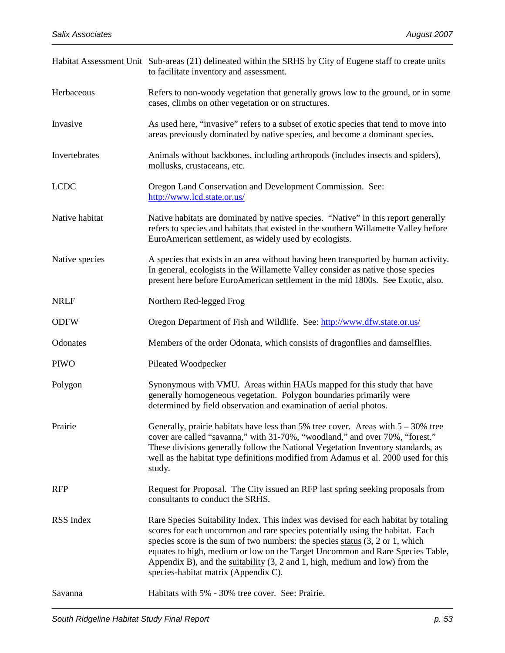|                | Habitat Assessment Unit Sub-areas (21) delineated within the SRHS by City of Eugene staff to create units<br>to facilitate inventory and assessment.                                                                                                                                                                                                                                                                                                                                  |
|----------------|---------------------------------------------------------------------------------------------------------------------------------------------------------------------------------------------------------------------------------------------------------------------------------------------------------------------------------------------------------------------------------------------------------------------------------------------------------------------------------------|
| Herbaceous     | Refers to non-woody vegetation that generally grows low to the ground, or in some<br>cases, climbs on other vegetation or on structures.                                                                                                                                                                                                                                                                                                                                              |
| Invasive       | As used here, "invasive" refers to a subset of exotic species that tend to move into<br>areas previously dominated by native species, and become a dominant species.                                                                                                                                                                                                                                                                                                                  |
| Invertebrates  | Animals without backbones, including arthropods (includes insects and spiders),<br>mollusks, crustaceans, etc.                                                                                                                                                                                                                                                                                                                                                                        |
| <b>LCDC</b>    | Oregon Land Conservation and Development Commission. See:<br>http://www.lcd.state.or.us/                                                                                                                                                                                                                                                                                                                                                                                              |
| Native habitat | Native habitats are dominated by native species. "Native" in this report generally<br>refers to species and habitats that existed in the southern Willamette Valley before<br>EuroAmerican settlement, as widely used by ecologists.                                                                                                                                                                                                                                                  |
| Native species | A species that exists in an area without having been transported by human activity.<br>In general, ecologists in the Willamette Valley consider as native those species<br>present here before EuroAmerican settlement in the mid 1800s. See Exotic, also.                                                                                                                                                                                                                            |
| <b>NRLF</b>    | Northern Red-legged Frog                                                                                                                                                                                                                                                                                                                                                                                                                                                              |
| <b>ODFW</b>    | Oregon Department of Fish and Wildlife. See: http://www.dfw.state.or.us/                                                                                                                                                                                                                                                                                                                                                                                                              |
| Odonates       | Members of the order Odonata, which consists of dragonflies and damselflies.                                                                                                                                                                                                                                                                                                                                                                                                          |
| <b>PIWO</b>    | Pileated Woodpecker                                                                                                                                                                                                                                                                                                                                                                                                                                                                   |
| Polygon        | Synonymous with VMU. Areas within HAUs mapped for this study that have<br>generally homogeneous vegetation. Polygon boundaries primarily were<br>determined by field observation and examination of aerial photos.                                                                                                                                                                                                                                                                    |
| Prairie        | Generally, prairie habitats have less than 5% tree cover. Areas with $5 - 30\%$ tree<br>cover are called "savanna," with 31-70%, "woodland," and over 70%, "forest."<br>These divisions generally follow the National Vegetation Inventory standards, as<br>well as the habitat type definitions modified from Adamus et al. 2000 used for this<br>study.                                                                                                                             |
| <b>RFP</b>     | Request for Proposal. The City issued an RFP last spring seeking proposals from<br>consultants to conduct the SRHS.                                                                                                                                                                                                                                                                                                                                                                   |
| RSS Index      | Rare Species Suitability Index. This index was devised for each habitat by totaling<br>scores for each uncommon and rare species potentially using the habitat. Each<br>species score is the sum of two numbers: the species status $(3, 2 \text{ or } 1, \text{ which})$<br>equates to high, medium or low on the Target Uncommon and Rare Species Table,<br>Appendix B), and the $s$ uitability (3, 2 and 1, high, medium and low) from the<br>species-habitat matrix (Appendix C). |
| Savanna        | Habitats with 5% - 30% tree cover. See: Prairie.                                                                                                                                                                                                                                                                                                                                                                                                                                      |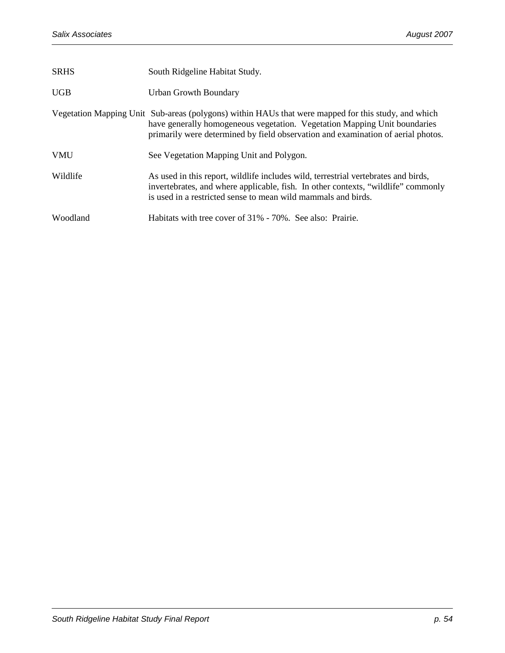| <b>SRHS</b> | South Ridgeline Habitat Study.                                                                                                                                                                                                                                       |
|-------------|----------------------------------------------------------------------------------------------------------------------------------------------------------------------------------------------------------------------------------------------------------------------|
| <b>UGB</b>  | <b>Urban Growth Boundary</b>                                                                                                                                                                                                                                         |
|             | Vegetation Mapping Unit Sub-areas (polygons) within HAUs that were mapped for this study, and which<br>have generally homogeneous vegetation. Vegetation Mapping Unit boundaries<br>primarily were determined by field observation and examination of aerial photos. |
| <b>VMU</b>  | See Vegetation Mapping Unit and Polygon.                                                                                                                                                                                                                             |
| Wildlife    | As used in this report, wildlife includes wild, terrestrial vertebrates and birds,<br>invertebrates, and where applicable, fish. In other contexts, "wildlife" commonly<br>is used in a restricted sense to mean wild mammals and birds.                             |
| Woodland    | Habitats with tree cover of 31% - 70%. See also: Prairie.                                                                                                                                                                                                            |